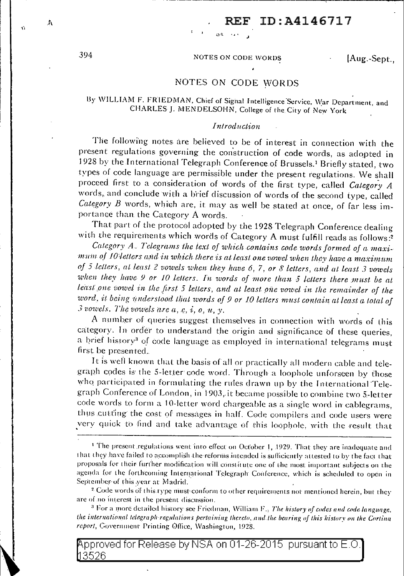# 394 NOTES ON CODE WORDS [Aug.-Sept.,

*ott* ·• · *J.* 

## NOTES ON CODE WORDS

## By WILLIAM F. FRIEDMAN, Chief of Signal Intelligence Service, War Department, and CHARLES J. MENDELSOHN, College of the City of New York

## *Int roduct·io n*

The following notes are believed to be of interest in connection with the present regulations governing the construction of code words, as adopted in 1928 by the International Telegraph Conference of Brussels. 1 Briefly stated, two types of code language are permissible under the present regulations. We shall proceed first to a consideration of words of the first type, called *Category A* words, and conclude with a brief discussion of words of the second type, called *Category B* words, whieh are, it may as well be stated at once, of far less importance than. the Category A words.

That part of the protocol adopted by the 1928 Telegraph Conference dealing with the requirements which words of Category A must fulfill reads as follows:<sup>2</sup>

Category A. Telegrams the lext of which contains code words formed of a maxi*mum of 10 letters and in which there is at least one vowel when they have a maximum of 5 letters, at least 2 vowels when they have 6, 7, or 8 letters, and at least 3 vowels* when they have 9 or 10 letters. In words of more than 5 letters there must be at least one vowel in the first 5 letters, and at least one vowel in the remainder of the word, it being understood that words of 9 or 10 letters must contain at least a total of  $\hat{\beta}$  vowels. The vowels are  $a, e, i, o, u, v$ .

A number of queries suggest themselves in connection with words of this category. In order to understand the origin and significance of these queries, a brief history<sup>3</sup> of code language as employed in international telegrams must first be presented.

It is well known that the basis of all or practically all modern cable and telegraph codes is the 5-letter code word. Through a loophole unforseen by those who participated in formulating the rules drawn up by the International Telegraph Conference of London, in 1903, it became possible to combine two 5-letter code words to form a 10-letter word chargeable as a single word in cablegrams, thus cutting the cost of messages in half. Code compilers and code users were very quick to find and take advantage of this loophole, with the result that

<sup>3</sup> For a more detailed history see Friedman, William F., *The history of codes and code language*. the international telegraph regulations pertaining thereto, and the bearing of this history on the Cortina report, Government Printing Office, Washington, 1928.

pproved for Release by NSA on 01-26-2015 pursuant to E.O. 3526

A

 $\hat{\mathbf{G}}$ 

<sup>&</sup>lt;sup>1</sup> The present regulations went into effect on October 1, 1929. That they are inadequate and that they have failed to accomplish the reforms intended is sufficiently attested to by the fact that proposals for their further modification will constitute one of the most important subjects on the agenda for the forthcoming International Telegraph Conference, which is scheduled to open in September of this year at Madrid.

<sup>&</sup>lt;sup>2</sup> Code words of this type must-conform to other requirements not mentioned herein, but they are of no interest in the present discussion.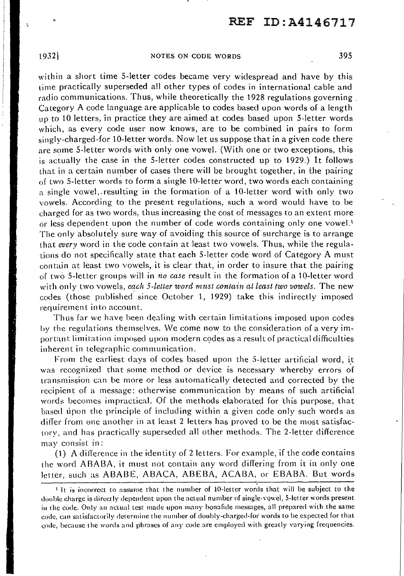## 1932] NOTES ON CODE WORDS 395

within a short time 5-letter codes became very widespread and have by this time practically superseded all other types of codes in international cable and radio communications. Thus, while theoretically the 1928 regulations governing. Category A code language are applicable to codes based upon words of a length up to 10 letters, 'in practice they are aimed at codes based upon 5-letter words which, as every code user now knows, are to be combined in pairs to form singly-charged-for lO-letter words. Now let us suppose that in a given code there are some 5-letter words with only one vowel. (With one or two exceptions, this is actually the case in the 5-letter codes constructed up to 1929.) It follows that in a certain number of cases there will be brought together, in the pairing of two 5-letter words to form a single l 0-letter word, two words each containing a single vowel, resulting in the formation of a 10-letter word with only two vowels. According to the present regulations, such a word would have to be charged for as two words, thus increasing the cost of messages to an extent more or less dependent upon the number of code words containing only one vowel.<sup>t</sup> The only absolutely sure way of avoiding this source of surcharge is to arrange that *every* word in the code contain at least two vowels. Thus, while the regulations do not specifically state that each 5-letter code word of Category A must contain at least two vowels, it is clear that, in order to insure that the pairing of two 5-letter groups will in *no case* result in the formation of a 10-letter word with only two vowels, *each 5-letter word must contain at least two vowels*. The new codes (those published since October l, 1929) take this indirectly imposed requirement into account..

Thus far we have been dealing with certain limitations imposed upon codes by the regulations themselves. We come now to the consideration of a very important limitation imposed upon modern c9des as a result of practical difficulties inherent in telegraphic communication.

From the earliest days of codes based upon the 5-letter artificial word, it was recognized that some method or device is necessary whereby errors of transmission can be more or less automatically detected and corrected by the recipient of a message; otherwise communication by means of such artificial words becomes impractical. Of the methods elaborated for this purpose, that based tipon the principle of including within a given code only such words as differ from one another in at least 2 letters has proved to be the most satisfactory, and has pracl'ically superseded all other methods. The 2-letter difference may consist in:

(1) A difference in the identity of  $2$  letters. For example, if the code contains the word ABABA, it must not contain any word differing from it in only one letter, such as ABABE, ABACA, ABEBA, ACABA, or EBABA. But words

p.

 $\mathbf{r}$  It is incorrect to assume that the number of 10-letter words that will be subject to the double charge is directly dependent upon the actual number of single-vowel, 5-letter words present in the code. Only an actual test made upon many bonafide messages, all prepared with the same code, can satisfactorily determine the number of doubly-charged-for words to be expected for that code, because the words and phrases of any code are employed with greatly varying frequencies.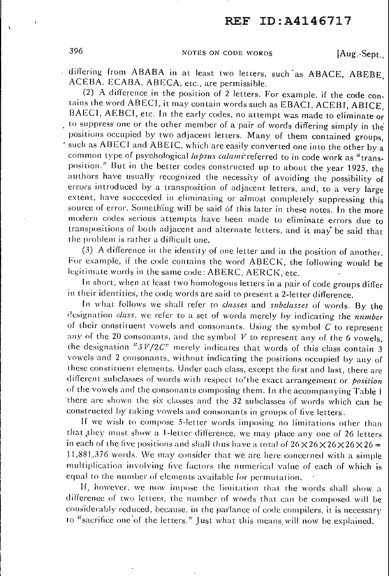396 **NOTES ON CODE WORDS** [Aug.-Sept.,

differing from ABABA in at least two letters, such as ABACE, ABEBE, ACEBA. ECABA, ABECA, etc., are permissible.

(2) A difference in the position of 2 letters. For example, if the code contains the word ABECI, it may contain words such as EBACI, ACEBI, ABICE, BAECI, AEBCI, etc. In the early codes, no attempt was made to eliminate or to suppress one or the other member of a pair of words differing simply in the positions occupied by two adjacent letters. Many of them contained groups, such as ABECI and ABEIC, which are easily converted one into the other by a common type of psychological *lapsus calami* referred to in code work as "transposition." But in the better codes constructed up to about the year 1925, the authors have usually recognized the necessity of avoiding the possibility of errors introduced by a transposition of adjacent letters, and, to a very large extent, have succeeded in eliminating or almost completely suppressing this source of error. Something will be said of this later in these notes. In the more modern codes serious attempts have been made to efiminate errors due to transpositions of both adjacent and alternate letters, and it may be said that the problem is rather a difficult one.

(3) A difference in the identity of one letter and in the position of another. For example, if the code contains the word ABECK, the following would be legitimate words in the same code: ABERC, AERCK, etc.

In short, when at least two homologous letters in a pair of code groups differ in their identities, the code words are said to present a 2-letter difference.

In what: follows we shall refer to *classes* and *subclasses* of words. By the designation *class*, we refer to a set of words merely by indicating the *number* of their constituent vowels and consonants. Using the symbol  $C$  to represent any of the  $20$  consonants, and the symbol  $V$  to represent any of the 6 vowels, the designation " $3V/2C$ " merely indicates that words of this class contain 3 vowels and 2 consonants, without indicating the positions occupied by any of these constituent elements. Under each class, except the first and last, there are different subclasses of words with respect to' the exact arrangement or *position* of the vowels and the consonants composing them. In the accompanying Table I there are shown the six classes and the 32 subclasses of words which can be constructed by taking vowels and consonants in groups of five letters.

If we wish to compose 5-letter words imposing no limitations other than that they must show a 1-letter difference, we may place any one of 26 letters in each of the live positions and shall thus have a total of  $26 \times 26 \times 26 \times 26 \times 26 = 10$  $11,881,376$  words. We may consider that we are here concerned with a simple multiplication involving five factors the numerical value of each of which is equal to the number of elements available for permutation.

If, however, we now impose the limitation that the words shall show a difference of two letters, the number of words that can be composed will be considerably reduced, because, in the parlance of code compilers, it is necessary to "sacrifice one of the letters." Just what this means will now be explained.

 $\ddot{\phantom{a}}$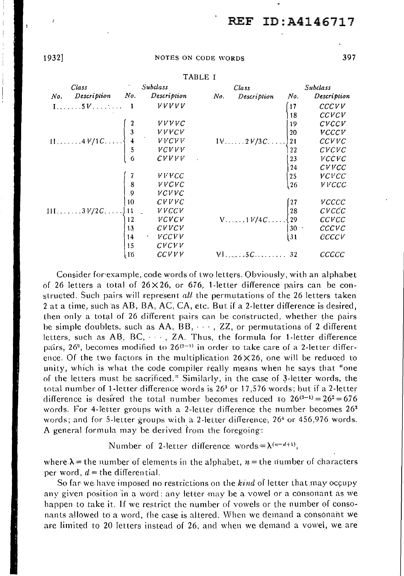1932] NOTES ON CODE WORDS 397

| Class                                                                                                                                                                                                                                                                                                                                                                                                                                                                                                          |                                              | <b>Subclass</b> |     | Class                                                         |                   | <b>Subclass</b> |
|----------------------------------------------------------------------------------------------------------------------------------------------------------------------------------------------------------------------------------------------------------------------------------------------------------------------------------------------------------------------------------------------------------------------------------------------------------------------------------------------------------------|----------------------------------------------|-----------------|-----|---------------------------------------------------------------|-------------------|-----------------|
| Description<br>No.                                                                                                                                                                                                                                                                                                                                                                                                                                                                                             | No.                                          | Description     | No. | Description                                                   | No.               | Description     |
| $1, \ldots, 5V, \ldots, \ldots, 1$                                                                                                                                                                                                                                                                                                                                                                                                                                                                             |                                              | <i>VVVVV</i>    |     |                                                               | $\left(17\right)$ | CCCVV           |
|                                                                                                                                                                                                                                                                                                                                                                                                                                                                                                                |                                              |                 |     |                                                               | 18                | CCVCV           |
|                                                                                                                                                                                                                                                                                                                                                                                                                                                                                                                |                                              | <i>VVVVC</i>    |     |                                                               | 19                | CVCCV           |
| $\begin{array}{c c c c} & & z & VVVVC \\ \hline \end{array} \begin{array}{c} & & z & VVVVC \\ \end{array}$<br>$\begin{array}{c} & & & z & VVVVC \\ \end{array} \begin{array}{c} & & & & & & \\ \end{array} \begin{array}{c} & & & & & & & \\ \end{array} \begin{array}{c} & & & & & & & \\ \end{array} \begin{array}{c} & & & & & & & & \\ \end{array} \begin{array}{c} & & & & & & & & \\ \end{array} \begin{array}{c} & & & & & & & & & \\ \end{array} \begin{array}{c} & & & & & & & & & \\ \hline & & & &$ |                                              |                 |     | $1 \vee \ldots \dots 2 \vee 3C \dots \dots$                   | 20                | <b>VCCCV</b>    |
|                                                                                                                                                                                                                                                                                                                                                                                                                                                                                                                |                                              |                 |     |                                                               | $\overline{21}$   | CCVVC           |
|                                                                                                                                                                                                                                                                                                                                                                                                                                                                                                                |                                              |                 |     |                                                               | 22                | CVCVC           |
|                                                                                                                                                                                                                                                                                                                                                                                                                                                                                                                |                                              | CVVVV           |     |                                                               | 23                | VCCVC           |
|                                                                                                                                                                                                                                                                                                                                                                                                                                                                                                                |                                              |                 |     |                                                               | 24                | CVVCC           |
|                                                                                                                                                                                                                                                                                                                                                                                                                                                                                                                |                                              | <b>VVVCC</b>    |     |                                                               | 25                | <i>VCVCC</i>    |
|                                                                                                                                                                                                                                                                                                                                                                                                                                                                                                                | $\begin{bmatrix} 8 \\ 9 \\ 10 \end{bmatrix}$ | <b>VVCVC</b>    |     |                                                               | 26                | <b>VVCCC</b>    |
|                                                                                                                                                                                                                                                                                                                                                                                                                                                                                                                |                                              | VCVVC           |     |                                                               |                   |                 |
|                                                                                                                                                                                                                                                                                                                                                                                                                                                                                                                |                                              | CVVVC           |     |                                                               |                   | <b>VCCCC</b>    |
| $111$ 3 $V/2C$ $\begin{cases} 11 \\ 12 \end{cases}$                                                                                                                                                                                                                                                                                                                                                                                                                                                            |                                              | <i>VVCCV</i>    |     | V 1 $V/4C$ $\begin{cases} 27 \\ 28 \\ 29 \\ 30 \end{cases}$ . |                   | CVCCC           |
|                                                                                                                                                                                                                                                                                                                                                                                                                                                                                                                |                                              | <i>VCVCV</i>    |     |                                                               |                   | CCVCC           |
|                                                                                                                                                                                                                                                                                                                                                                                                                                                                                                                | 13                                           | CVVCV           |     |                                                               |                   | CCCVC           |
|                                                                                                                                                                                                                                                                                                                                                                                                                                                                                                                | 14                                           | <b>VCCVV</b>    |     |                                                               | 31                | CCCCV           |
|                                                                                                                                                                                                                                                                                                                                                                                                                                                                                                                | 15                                           | CVCVV           |     |                                                               |                   |                 |
|                                                                                                                                                                                                                                                                                                                                                                                                                                                                                                                | -16                                          | CCVVV           |     | $VI.$ , $5C$ 32                                               |                   | CCCCC           |

TABLE I

Consider for example, code words of two letters. Obviously, with an alphabet  $\delta$ f 26 letters a total of 26 $\times$ 26, or 676, 1-letter difference pairs can be constructed. Such pairs will represent *all* the permutations of the 26 letters taken 2 at a time, such as AB, BA, AC, CA, etc. But if a 2-letter difference is desired. then only a total of 26 different pairs can be constructed, whether the pairs be simple doublets, such as  $AA$ ,  $BB$ ,  $\cdots$ ,  $ZZ$ , or permutations of 2 different letters, such as  $AB$ ,  $BC$ ,  $\cdots$ ,  $ZA$ . Thus, the formula for 1-letter difference pairs, 26°, becomes modified to 26<sup>(2–1)</sup> in order to take care of a 2-letter difference. Of the two factors in the multiplication  $26\times 26$ , one will be reduced to unity, which is what the code compiler really means when he says that "one of the letters must be sacrificed." Similarly, in the case of 3-letter words, the total number of 1-letter difference words is  $26<sup>3</sup>$  or 17,576 words; but if a 2-letter difference is desired the total number becomes reduced to  $26^{(3-1)} = 26^2 = 6.76$ words. For 4-letter groups with a 2-letter difference the number becomes  $26<sup>3</sup>$ words; and for 5-letter groups with a 2-letter difference, 264 or 456,976 words. A general formula may be derived from the foregoing·:

Number of 2-letter difference words= $\lambda^{(n-d+1)}$ .

where  $\lambda$  = the number of elements in the alphabet,  $n=$  the number of characters per word,  $d =$  the differential.

So far we have imposed no restrictions on the *kind* of letter that may occupy any given position in a word: any letter may be a vowel or a consonant as we happen to take it. If we restrict the number of vowels or the number of consonants allowed to a word, the case is altered. When we demand a consonant we are limited to 20 letters instead of 26, and when we demand a vowel, we. are

 $\lambda$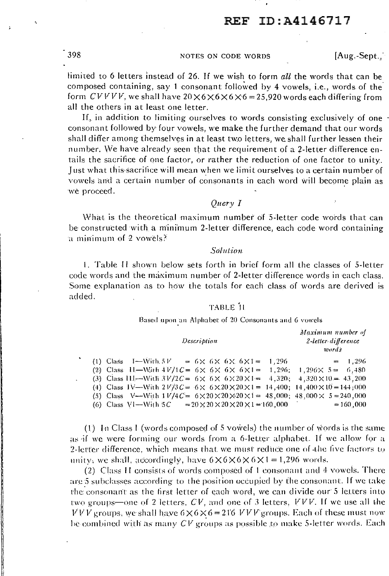398 NOTES ON CODE WORDS [Aug.-Sept., ·

limited to 6 letters instead of 26. If we wish to form *alt* the words that can be composed containing, say 1 consonant followed by 4 vowels, i.e., words of the form  $CVVVV$ , we shall have  $20 \times 6 \times 6 \times 6 \times 6 = 25,920$  words each differing from all the others in at least one letter.

If, in addition to limiting ourselves to words consisting exclusively of one consonant followed by four vowels, we make the further demand that our Words shall differ among themselves in at least two letters, we shall further lessen their number. We have already seen that the requirement of a 2-letter difference entails the sacrifice of one factor, or rather the reduction of one factor to unity. Just what this sacrifice will mean when we limit ourselves to a certain number of vowels and a certain number of consonants in each word will become plain as we proceed.

*Query* I

What is the theoretical maximum number of 5-letter code words that can be constructed with a minimum 2-letter difference, each code word containing a minimum of 2 vowels?

## *Solution*

I. Table 11 shown below sets forth in brief form all the classes of 5-letter code words and the maximum number of 2-letter difference words in each class. Some explanation as to how the totals for each class of words are derived is added.

## TABLE '11

Based upon an Alphabet of 20 Consonants and 6 vowels

| Description                                                                                                                                                                                                                                                                                                                                                                                                                                                                                                 | Maximum number of<br>2-letter-difference<br>words |
|-------------------------------------------------------------------------------------------------------------------------------------------------------------------------------------------------------------------------------------------------------------------------------------------------------------------------------------------------------------------------------------------------------------------------------------------------------------------------------------------------------------|---------------------------------------------------|
| (1) Class $I = With.5V = 6 \times 6 \times 6 \times 6 \times 1 = 1.296$<br>(2) Class 11—With $4V/1C = 6 \times 6 \times 6 \times 6 \times 1 = 1,296; 1,296 \times 5 = 6,480$<br>(3) Class 111—With $3V/2C = 6 \times 6 \times 6 \times 20 \times 1 = 4,320; 4,320 \times 10 = 43,200$<br>(4) Class IV—With $2V/3C = 6 \times 6 \times 20 \times 20 \times 1 = 14,400$ ; $14,400 \times 10 = 144,000$<br>(5) Class V—With $1V/4C = 6 \times 20 \times 20 \times 20 \times 1 = 48,000$ ; 48,000 × 5 = 240,000 | $= 1.296$                                         |
| (6) Class VI—With 5C $= 20 \times 20 \times 20 \times 20 \times 1 = 160,000$                                                                                                                                                                                                                                                                                                                                                                                                                                | $= 160,000$                                       |

(1) In Class I (words composed of 5 vowels) the number of words is the same as if we were forming our words from a 6-letter alphabet. If we allow for a 2-letter difference, which means that we must reduce one of the live factors to unity, we shall, accordingly, have  $6 \times 6 \times 6 \times 6 \times 1 = 1,296$  words.

(2) Class II consists of words composed of 1 consonant and  $4$  vowels. There are 5 subclasses according to the position occupied by the consonant. If we take the consonant as the first letter of each word, we can divide our 5 letters into two groups—one of 2 letters,  $CV$ , and one of 3 letters,  $VVV$ . If we use all the  $V \overline{V} V$  groups, we shall have  $6 \times 6 \times 6 = 216$   $VV V$  groups. Each of these must now be combined with as many  $CV$  groups as possible to make 5-letter words. Each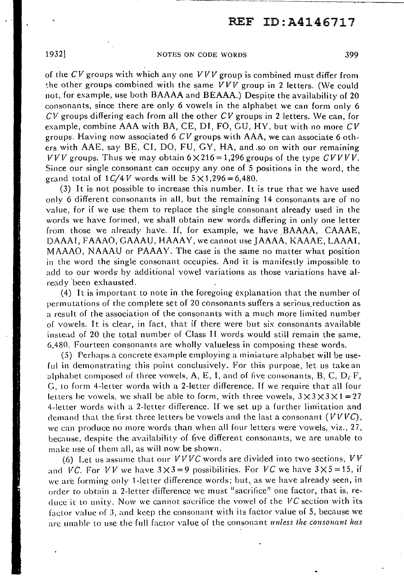## 1932] NOTES ON CODE WORDS 399

of the  $CV$  groups with which any one  $VVV$  group is combined must differ from the other groups combined with the same  $VVV$  group in 2 letters. (We could not, for example, use both BAAAA and BEAAA.) Despite the availability of 20 consonants, since there are only 6 vowels in the alphabet we can form only 6  $CV$  groups differing each from all the other  $CV$  groups in 2 letters. We can, for example, combine AAA with BA, CE, DI, FO, GU, HY, but with no more CV groups. Having now associated 6 CV groups with AAA, we can associate 6 others with AAE, say BE, CI, DO, FU, GY, HA, and .so on with our remaining  $VVV$  groups. Thus we may obtain  $6 \times 216 = 1,296$  groups of the type  $CVVVV$ . Since our single consonant can occupy any one of 5 positions in the word, the grand total of  $1 \frac{C}{4}$  words will be  $5 \times 1,296 = 6,480$ .

(3) It is not possible to increase this number. It is true that we have used only 6 different consonants in all, but the remaining 14 consonants are of no value, for if we use them to replace the single consonant already used in the words we have formed, we shall obtain new words differing in only one letter from those we already have. If, for example, we have BAAAA, CAAAE, DAAAI, FAAAO, GAAAU, HAAAY, we cannot use JAAAA, KAAAE, LAAAI, MAAAO, NAAAU or PAAAY. The case is the same no matter what position in the word the single consonant occupies. And it is manifestly impossible to add to our words' by additional vowel variations as those variations have already 'been exhausted.

(4) It is important to note in the foregoing explanation that the number of permutations of the complete set of 20 consonants suffers a serious reduction as a result of the association of the consonants with a much more limited number of vowels. It is clear, in fact, that if there were but six consonants available instead of 20 the total number of Class II words would still remain the same, 6,480. Fourteen consonants are wholly valueless in composing these words.

*(S)* Perhaps a concrete example employing a miniature alphabet will be useful in demonstrating this point conclusively. For this purpose, let us take an alphabet composed of three vowels, A, E, I, and of five consonants, B, C, D<sub>r</sub> F, C, to form 4-letter words with a 2-letter difference. If we require that all four letters be vowels, we shall be able to form, with three vowels,  $3\times3\times3\times1=27$ 4-letter words with a 2-letter difference. If we set up a further lim'itation and demand that the first three letters be vowels and the last a consonant  $(VVVC)$ , we can produce no more words than when all four letters were vowels, viz., 27, because, despite the availability of five different consonants, we are unable to make use of them all, as will now be shown.

(6) Let us assume that our  $VVVC$  words are divided into two-sections,  $VV$ and VC. For VV we have  $3 \times 3 = 9$  possibilities. For VC we have  $3 \times 5 = 15$ , if we are forming only 1-letter difference words; but, as we have already seen, in order to obtain a 2-letter difference we must "sacrifice" one factor, that is, reduce it to unity. Now we cannot sacrifice the vowel of the  $VC$  section with its factor value of 3, and keep the consonant with its factor value of 5, because we are unable to use the full factor value of the consonant *unless the consonant has*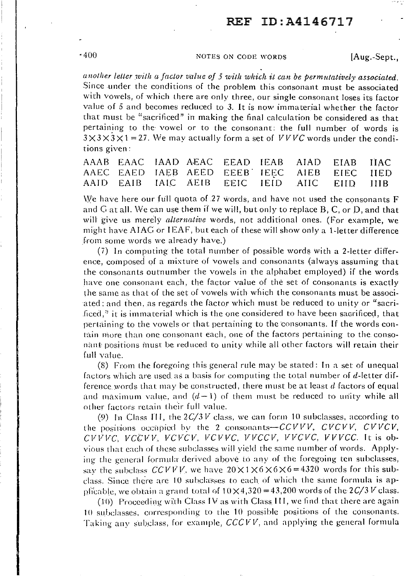## ·400 NOTES ON CODE WORDS [Aug.-Sept.,

another letter with a factor value of 5 with which it can be permutatively associated. Since under the conditions of the problem this consonant must be associated with vowels, of which there are only three, our single consonant loses its factor value of *5* and becomes reduced to 3. It is now immaterial whether the factor that must be "sacrificed" in making the final calculation be considered as that pertaining to the· vowel or to the consonant: the full number of words is  $3 \times 3 \times 3 \times 1 = 27$ . We may actually form a set of *VVVC* words under the conditions given:

|  |  |  | AAAB EAAC IAAD AEAC EEAD IEAB AIAD EIAB IIAC |  |
|--|--|--|----------------------------------------------|--|
|  |  |  | AAEC EAED IAEB AEED EEEB IEEC AIEB EIEC IIED |  |
|  |  |  | AAID EAIB IAIC AEIB EEIC IEID AIIC EIID IIIB |  |

We have here our full quota of 27 words, and have not used the consonants  $F$ and G at all. We can use them if we will, but only to replace  $B$ ,  $C$ , or  $D$ , and that will give us merely *alternative* words, not additional ones. (For example, we might have AIAG or IEAF, but each of these will show only a I-letter difference from some words we already have.)

 $(7)$  In computing the total number of possible words with a 2-letter difference, composed of a mixture of vowels and consonants (always assuming that the consonants outnumber the vowels in the alphabet employed) if the words have one consonant each, the factor value of the set of consonants is exactly the same as that of the set of vowels with which the consonants must be associated: and then, as regards the factor which must be reduced to unity or "sacrificed," it is immaterial which is the one considered to have been sacrificed, that pertaining to the vowels or that pertaining to the consonants. If the words contain more than one consonant each, one of the factors pertaining to the consonant positions must be reduced to unity while all other factors will retain their full value.

(8) From the foregoing this general rule may be stated: In a set of unequal factors which are used as a basis for computing the total number of d-letter difference words that may be constructed, there must be at least *d* .factors of equal and maximum value, and  $(d-1)$  of them must be reduced to unity while all other factors retain their full value.

(9) In Class III, the  $2\frac{C}{3}V$  class, we can form 10 subclasses, according to the positions occupied by the 2 consonants- $CCVVV$ ,  $CVCVV$ ,  $CVVCV$ ,  $CVPVVC$ ,  $VCCVV$ ,  $VCVCK$ ,  $VCVVC$ ,  $VVCCV$ ,  $VVCCC$ ,  $VVVCC$ . It is obvious that each of these subclasses will yield the same number of words. Applying- the general formula derived above to any of the foregoing ten subclasses, say the subclass  $CCVVV$ , we have  $20 \times 1 \times 6 \times 6 \times 6 = 4320$  words for this subclass. Since there are 10 subclasses to each of which the same formula is appficable, we obtain a grand total of  $10 \times 4,320 = 43,200$  words of the  $2C/3V$  class.

 $(10)$  Proceeding with Class IV as with Class III, we find that there are again 10 subclasses, corresponding to the 10 possible positions of the consonants. Taking any subclass, for example,  $CCCVV$ , and applying the general formula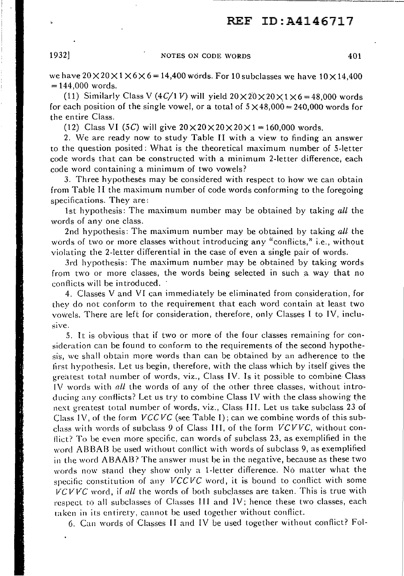------------------------

1932 NOTES ON CODE WORDS 401

we have  $20 \times 20 \times 1 \times 6 \times 6 = 14,400$  words. For 10 subclasses we have  $10 \times 14,400$  $= 144,000$  words.

(11) Similarly Class V (4C/1 V) will yield  $20 \times 20 \times 20 \times 1 \times 6 = 48,000$  words for each position of the single vowel, or a total of  $5 \times 48,000 = 240,000$  words for the en tire Class.

(12) Class VI (5C) will give  $20 \times 20 \times 20 \times 20 \times 1 = 160,000$  words.

2. \Ve are ready now to study Table II with a view to finding an answer to the question posited: \Vhat is the theoretical maximum number of 5-letter code words that can be constructed with a minimum 2-letter difference, each code word containing a minimum of two vowels?

3. Three hypotheses may be considered with respect to how we can obtain from Table II the maximum number of code words conforming to the foregoing specifications. They are:

1st hypothesis: The maximum number may be obtained by taking *all* the words of any one class.

2nd hypothesis: The maximum number may be obtained by taking *all* the words of two or more classes without introducing any "conflicts," i.e., without violating the 2-letter differential in the case of even a single pair of words.

3rd hypothesis: The maximum number may be obtained by taking words from two or more classes, the words being selected in such a way that no conflicts will be introduced.

4. Classes V and VI can immediately be eliminated from consideration, for they do not conform to the requirement that each word contain at least two vowels. There are left for consideration, therefore, only Classes I to IV, inclusive.

5. It is obvious that if two or more of the four classes remaining for consideration can be found to conform to the requirements of the second hypothesis, we shall obtain more words than can be obtained by an adherence to the first hypothesis. Let us begin, therefore, with the class which by itself gives the greatest total number of words, viz., Class IV. Is it possible to combine Class  $1$ V words with all the words of any of the other three classes, without introd ucing any conflicts? Let us try to combine Class IV with the class showing the next greatest total number of words, viz., Class III. Let us take subclass 23 of Class I *\I,* of the form *VCC VC* (see Table I); can we combine words of this subclass with words of subclass 9 of Class Ill, of the form *VCVVC,* without conflict? To be even more specific, can words of subclass 23, as exemplified in the word AB BAB be used without conflict with words of subclass 9, as exemplified in the word A BAAB? The answer must be in the negative, because as these two words now stand they show only a 1-letter difference. No matter what the specific constitution of any *VCCVC* Word, it is bound to conflict with some *VCVVC* word, if all the words of both subclasses are taken. This is true with respect to all subclasses of Classes III and IV; hence these two classes, each raken in its entirety, cannot be used together without conflict.

6. Can words of Classes II and IV be used together without conflict? Fol-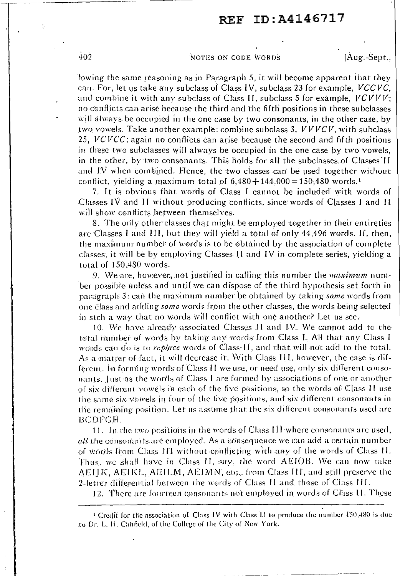## 402 Notes on copie words [Aug.-Sept...]

lowing the same reasoning as in Paragraph 5, it will become apparent that they can. For, let us take any subclass of Class IV, subclass 23 for example, *VCCVC*, and combine it with any subclass of Class II, subclass 5 for example, *VCVVV;*  no conflicts can arise because the third and the fifth positions in these subclasses will always be occupied in the one case by two consonants, in the other case, by \_two vowels. Take another example: combine subclass 3, *VVVCV,* with subclass 25, *VCVCC*; again no conflicts can arise because the second and fifth positions in these two subclasses will always be occupied in the one case by two vowels, in the other, by two consonants. This holds for all the subclasses of Classes II and  $I\dot{V}$  when combined. Hence, the two classes can be used together without conflict, yielding a maximum total of  $6,480 + 144,000 = 150,480$  words.<sup>1</sup>

7. T.t is obvious that words of Class I cannot be included with words of -Classes IV and I I without producing tonflicts, since words of Classes **J** and II will show conflicts between themselves.

8. The only other· classes that migh.t be employed together in their en *ti* reties are Classes I and III, but they will yield a total of only  $44,496$  words. If, then, the maximum number of words is to be obtained by the association of complete classes, it will be by employing Classes II and IV in complete series, yielding a total of 150,480 words.

*9.* We are, however, not justified in calling this number the *maximum* number possible unless and until we can dispose of the third hypothesis set forth in paragraph 3: can the maximum number be obtained by taking *some* words from one class and adding *some* words from the other classes, the words being selected in stch a way that no words will conflict with one another.? Let us see.

J 0. \Ve have already associated Classes **11** and IV. \Ve cannot acid to the total number of words by taking any words from Class I. All that any Class I words can do is to *replace* words of Class-II, and that will not add to the total. As a matter of fact, it will decrease it. With Class III, however, the case is different. In rorming words of Class **11** we use\_, or need use, only six different consonants. Just as the words of Class I are formed by associations of one or another of six different vowels in each of the five positions, so the words of Class **11** use the same six vowels in four of the five positions, and six different consonants in the remaining position. Let us assume that the six different consonants used are BCDFCH.

11. In the two positions in the words of Class III where consonants are used, *all* the consonants are employed. As a consequence we can add a certain number of words from Class III without conflicting with any of the words of Class II. Thus, we .shall have in Class **11.** say. tire word AEIOB. We can now lake AEITK, AEIKL, AEILM, AEIMN, etc., from Class III, and still preserve the 2-letter differential between the words of Class II and those of Class III.

12. There are fourteen consonants not employed in words of Class II, These

<sup>&</sup>lt;sup>1</sup> Credit for the association of: Class IV with Class II to produce the number  $150,480$  is due to Dr. L. H. Canfield, of the College of the City of New York.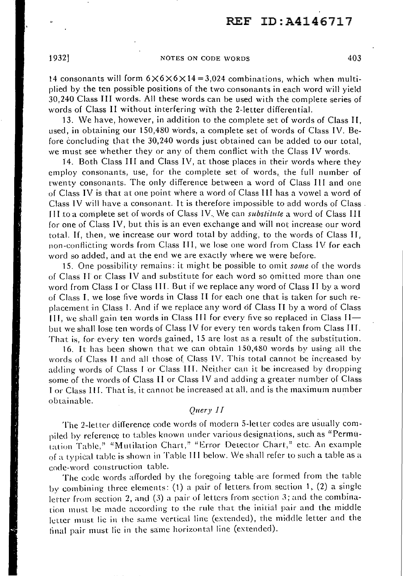## 1932] NOTES ON CODE WORDS 403

14 consonants will form  $6 \times 6 \times 6 \times 14 = 3,024$  combinations, which when multiplied by the ten possible positions of the two consonants in each word will yield 30,240 Class III words. All these words can be used with the complete series of words of Class II without interfering with the 2-letter differential.

13. \Ve have, however, in addition to the complete set of words of Class Ir, used, in obtaining our I 50,480 words, a complete set of words of Class IV. Before concluding that the 30,240 words just obtained can be added to our total, we must see whether they or any of them conflict with the Class IV words.

14. Both Class III and Class IV, at those places in their words where they employ consonants, use, for the complete set of words, the full number of twenty consonants. The only difference between a word of Class Ill and one of Class IV is that at one point where a word of Class Ill has a vowel a word of Class IV will have a consonant. It is therefore impossible to add words of Class. JI I to a complete set of words of Class IV .. \Ve can *substitute* a word of Class I I I for one of Class IV, but this is an even exchange and will not increase our word total. If, then, we increase our word total by adding, to the words of Class IJ, non-conflicting words from Class III, we lose one word from Class IV for each word so added, and at the end we are exactly where we were before.

15. One possibility remains: it might be possible to omit *some* of the words of Class II or Class IV and substitute for each word so omitted more than one word from Class I or Class III. But if we replace any word of Class II by a word of Class I, we lose five words in Class II for each one that is taken for such replacement in Class I. And if we replace any word of Class II by a word of Class  $111$ , we shall gain ten words in Class III for every five so replaced in Class  $H$ but we shall lose ten words of Class IV for every ten words taken from Class III. That is, for every ten words gained, 15 are lost as a. result of the substitution.

16. It has been shown that we can obtain 150,480 words by using all the words of Class II and all those of Class IV. This total cannot be increased by adding words of Class I or Class III. Neither can it be increased by dropping some of the words of Class II or Class IV and adding a greater number of Class l or Class I 11. That is, it cannot be increased at all. and is the maximum number obtainable.

## *Query I [*

The 2-letter difference code words of modern 5-letter codes are usually compiled by reference to tables known under various designations, such as "Permutation Table," "Mutilation Chart," "Error Detector Chart," etc. An example of a typical table is shown in Table 111 below. We shall refer to such a table as a cnde-word construction table.

The code words afforded by the foregoing table are formed from the table by combining three elements: (1) a pair of letters from section 1, (2) a single letter from section 2, and (3) a pair of letters from section 3; and the combination must be made according to the rule that the initial pair and the middle letter must lie in the same vertical line (extended), the middle letter and the final pair must lie in the same horizontal line (extended).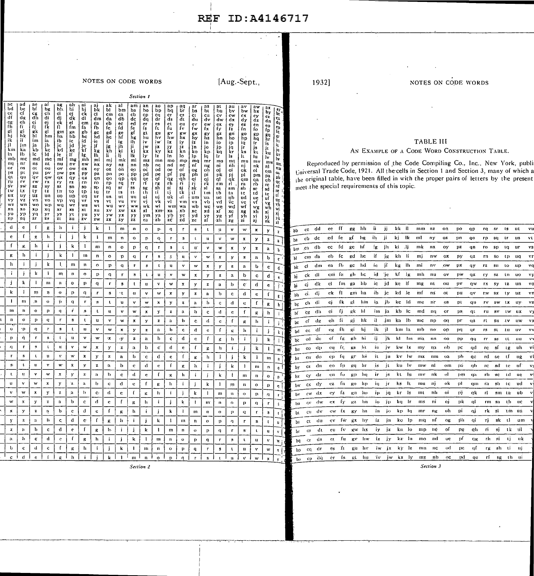NOTES ON CODE WORDS [Aug.-Sept.,

I

I

|                                                                                                                                                                                                                                                                                                                                    |                                                                                                                                                                                               |                                                                                                                                                                      |                                                                                                                                                                                                |                                                                                                                                                                                                                                                                    |                                                                                                                                                                                           |                                                                                                                                                                          |                                                                                                                                                        |                                                                                                                                                                               | Section 1                                                                                                                                                  |                                                                                                                                                      |                                                                                                                                                         |                                                                                                                                                             |                                                                                                                                                                                                  |                                                                                                                                                                  |                                                                                                                                                                             |                                                                                                                                                               |                                                                                                                                                                                    |                                                                                                                                                                 |                                                                                                                                                                             |                                                                                                                                                                           |                                                                                                                                                                    |                                                                                                                                                                                                                                                                                                                                                                                     |
|------------------------------------------------------------------------------------------------------------------------------------------------------------------------------------------------------------------------------------------------------------------------------------------------------------------------------------|-----------------------------------------------------------------------------------------------------------------------------------------------------------------------------------------------|----------------------------------------------------------------------------------------------------------------------------------------------------------------------|------------------------------------------------------------------------------------------------------------------------------------------------------------------------------------------------|--------------------------------------------------------------------------------------------------------------------------------------------------------------------------------------------------------------------------------------------------------------------|-------------------------------------------------------------------------------------------------------------------------------------------------------------------------------------------|--------------------------------------------------------------------------------------------------------------------------------------------------------------------------|--------------------------------------------------------------------------------------------------------------------------------------------------------|-------------------------------------------------------------------------------------------------------------------------------------------------------------------------------|------------------------------------------------------------------------------------------------------------------------------------------------------------|------------------------------------------------------------------------------------------------------------------------------------------------------|---------------------------------------------------------------------------------------------------------------------------------------------------------|-------------------------------------------------------------------------------------------------------------------------------------------------------------|--------------------------------------------------------------------------------------------------------------------------------------------------------------------------------------------------|------------------------------------------------------------------------------------------------------------------------------------------------------------------|-----------------------------------------------------------------------------------------------------------------------------------------------------------------------------|---------------------------------------------------------------------------------------------------------------------------------------------------------------|------------------------------------------------------------------------------------------------------------------------------------------------------------------------------------|-----------------------------------------------------------------------------------------------------------------------------------------------------------------|-----------------------------------------------------------------------------------------------------------------------------------------------------------------------------|---------------------------------------------------------------------------------------------------------------------------------------------------------------------------|--------------------------------------------------------------------------------------------------------------------------------------------------------------------|-------------------------------------------------------------------------------------------------------------------------------------------------------------------------------------------------------------------------------------------------------------------------------------------------------------------------------------------------------------------------------------|
| ad<br>bd<br>be<br>ce<br>df<br>cf.<br>dg<br>eg<br>fh<br>eh<br>fi<br>gi<br>хi<br>hi<br>ik<br>hk<br>ïF<br>jl<br>jın<br>km<br>ka<br>la<br>łb.<br>ារាង<br>mc<br>ng<br>nr<br>or<br>os<br>ps.<br>DU.<br>qt<br>àп<br>`ru.<br>ΓV<br>٠sv٠<br>3Ŵ<br>tw<br>4x.<br>ux<br>uy<br>vy<br>vz.<br>wz<br>wn<br>xn<br><b>XO</b><br>yo<br>УP<br>zp<br>zq | ae<br>bi<br>$\frac{c}{dh}$<br>ei<br>fj<br>gk<br>$\overline{h}$<br>im<br>ja<br>kb<br>Ic.<br>md<br><b>IS</b><br>ot<br>pu<br>άv<br>rw<br>3X<br>ty<br>tiz.<br>vn<br>$w_0$<br>хp<br>$\frac{y}{z}r$ | $\frac{bg}{ch}$<br>di<br>ej<br>fk<br>gl<br>hm<br>ia<br>jb<br>kc<br>И<br>me<br>m<br>ou<br>Dν<br>ow<br>rx<br>sy<br>ιż<br>un<br>V0<br>WD.<br>x <sub>0</sub><br>yг<br>29 | ag<br>bh<br>ci<br>dj<br>ek<br>$\mathbf{u}$<br>gm<br>ha.<br>ib<br>jc<br>kd<br>lė.<br>mſ<br>nu<br>ov<br>pw<br>QX<br>ry.<br>97.<br>Ür<br>uó<br>vр<br>wq<br>$\mathbf{x}$ r<br>$_{\rm zt}^{\rm vs}$ | $\begin{array}{c}\n\mathbf{a}\mathbf{h} \\ \mathbf{b}\mathbf{i} \\ \mathbf{c}\mathbf{j} \\ \mathbf{d}\mathbf{k}\n\end{array}$<br>f m<br>Ŗа<br>hb<br>ic<br>jd<br>ke<br>Ïſ<br>mg<br>nv<br>ow<br>DX<br>qy<br>rż.<br>$3n$<br>ΊO<br>up<br>vq<br>wr<br>$x_3$<br>yt<br>zu | ai<br>bj<br>ck<br>dl<br>$_{\rm cm}$<br>fa<br>gb<br>hс<br>id<br>je<br>'kf<br>lg.<br>mh<br>nŵ<br>ox<br>py<br>qz<br>rn<br>50<br>tp<br>uq<br>٧ŕ<br>ws<br>xt<br>yu<br>$\mathbf{z}\,\mathbf{v}$ | aj<br>bk<br>cl<br>dm<br>ęа<br>fb<br>gc<br>hd<br>ie.<br>jĔ<br>kg<br>Hì.<br>mi<br>nx<br>oý<br>pz<br>qn<br>ro<br><b>SD</b><br>ιq<br>ur<br><b>vs</b><br>wt<br>xu<br>уv<br>ŻW | ы<br>cm<br>da<br>eb<br>fc<br>gd<br>he<br>if<br>jπ.<br>kh<br>li.<br>mj<br>ny<br>۰oz<br>pn<br>qo<br>ŕр.<br>sα<br>tr<br>us.<br>vt<br>wü<br>xv<br>yw<br>zx | bm<br>ca<br>db<br>ęc<br>ſd<br>ge<br>hf<br>ig<br>jh<br>li<br>m <sub>k</sub><br>nż<br>óπ<br>po<br>qp<br>rq<br>sr<br>t s<br>ut<br>vu<br>wÿ<br>$\mathbf{x}\mathbf{w}$<br>уx<br>zy | ba<br>cb<br>dc<br>ed<br>fe<br>gf<br>hg<br>ih<br>ii<br>ki<br>1k<br>ml<br>nn<br>09<br>pp<br>qq<br>rr<br>59<br>tt-<br>uu<br>ýν<br>ww<br>XX<br>$\frac{yy}{zz}$ | bo<br>сp<br>da<br>er<br>ſs<br>ğt<br>hu<br>iv<br>jw<br>kx.<br>ly.<br>mz<br>nb<br>оċ<br>pd<br>qe<br>rf<br>Sg<br>th<br>ui<br>vi<br>wk<br>xĽ<br>ym<br>za | bp<br>cq<br>dr<br>es<br>ft.<br>gu<br>hv<br>iw<br>jx.<br>ky<br>1z.<br>mn<br>nc.<br>od<br>рe<br>qf<br>rg<br>sh<br>лi<br>ui<br>vk<br>wŀ<br>xm·<br>ya<br>zb | ci.<br>Pd<br>ds<br>et.<br>ſu<br>gv<br>hw<br>iх<br>jу<br>kż<br>In<br>mo<br>nd<br>oe<br>рf<br>៊ាន<br>.rh<br>Si.<br>-1j<br>uk<br>vl<br>wn<br>xа<br>$rac{y}{z}$ | $\mathbf{b}$<br>$\mathbf{c}\mathbf{s}$<br>dı<br>eu<br>fv<br>gw<br>hx<br>iy<br>jż<br>kn<br>lo<br>mp<br>ne <sup>-</sup><br>οf<br>pg<br>∙ğh<br>ři.<br>S)<br>tk.<br>αI<br>vm<br>wa<br>xb<br>yc<br>źd | bs<br>čť<br>du<br>ev<br>ſw<br>gx<br>hy<br>iz.<br>jn<br>ko<br>lD<br>mą<br>пſ<br>og<br>ph<br>qi<br>rj<br>sk<br>ίľ<br>um<br>va<br>wb<br>x <sub>c</sub><br>'yd<br>ze | as<br>bt<br>cu.<br>dv<br>$_{\rm fx}^{\rm ew}$<br>gy<br>hz<br>in<br>jo<br>kp.<br>lq<br>mř<br>ng<br>oh<br>pi.<br>qj<br>rk<br>9Ì<br>'t m<br>'ua<br>-vb<br>wc<br>xd<br>ye<br>zf | bu<br>cv<br>dw<br>ex<br>fy<br>$g\bar{z}$<br>hn<br>io.<br>jp<br>κq<br>1r<br>ms<br>пi<br>oj<br>-pk<br>ql<br>ŕm<br>sa<br>tБ<br>uc<br>vd<br>we<br>xſ<br>Уg<br>-zh | au<br>bv<br>cw<br>dx<br>ey<br>fź<br>gn<br>ho<br>ijр<br>jα<br>kг<br>ls·<br>mt<br>ñh<br>oi<br>рj<br>qk<br>пI.,<br>sm<br>ta<br>цb<br>ΫC<br>wd<br>xc<br>yſ<br>$\mathbf{z}\,\mathbf{g}$ | bw<br>$\frac{cx}{dy}$<br>eż<br>fn.<br>go<br>hp<br>iq<br>jr<br>ks.<br>It.<br>mu<br>пj<br>ok:<br>рl<br>qm<br>ra<br>-sb<br>te<br>ud<br>ve.<br>wf<br>xg<br>ÿh<br>zi | bx<br>$_{\rm{dz}}^{\rm{cy}}$<br>ën<br>fo<br>gp<br>hq<br>ïг<br>js<br>kt<br>lu.<br>mv<br>nk<br>ol<br>pm<br>qa<br>rb<br><b>SC</b><br>td<br>ue.<br>vf<br>wg<br>xh<br>  yi<br>zj | $\frac{b_y}{c_z}$<br>$_{\rm fp}^{\rm eo}$<br>gq<br>hr<br>is<br>iŧ.<br>ku<br>lν<br>mw<br>ni.<br>om<br>pa<br>оb<br>re<br>sd<br>te<br>uf<br>$\frac{v}{w}$<br>x.<br>yj.<br>zk | $\frac{dy}{dx}$<br><i>U</i> a a a a a<br>Ìţ.<br>jų<br>kv<br>łw.<br>m.<br>пъ<br>$\alpha_{\rm i}$<br>pb<br>qe i<br>  rd<br>se<br>If<br>Цg<br>vh<br>wi<br>지<br>기<br>기 | <b>TABLE III</b><br>AN EXAMPLE OF A CODE WORD CONSTRUCTION TABLE.<br>Reproduced by permission of the Code Compiling Co., Inc., New York, publi<br>Liniversal Trade Code, 1921. All the cells in Section 1 and Section 3, many of which a<br>the original table, have been filled in with the proper pairs of letters by the present<br>meet the special requirements of this topic. |
| d<br>c                                                                                                                                                                                                                                                                                                                             | f.                                                                                                                                                                                            | $\mathbf g$                                                                                                                                                          | $\mathbf h$                                                                                                                                                                                    | $\mathbf{1}$                                                                                                                                                                                                                                                       | j.                                                                                                                                                                                        | k                                                                                                                                                                        | $\mathbf{1}$                                                                                                                                           | $\mathbf{n}$                                                                                                                                                                  | 'n                                                                                                                                                         | $\mathbf{o}$                                                                                                                                         | $\mathbf{p}$                                                                                                                                            | $\mathbf q$                                                                                                                                                 | $\mathbf r$                                                                                                                                                                                      | ۰ğ                                                                                                                                                               | $\mathbf t$                                                                                                                                                                 | $\mathbf{u}$                                                                                                                                                  | $\mathbf v$                                                                                                                                                                        | W                                                                                                                                                               | $\pmb{x}$                                                                                                                                                                   | $\mathbf{y}$                                                                                                                                                              | $\mathbf{z}$                                                                                                                                                       | ee ff<br>gg hh<br>ii.<br>ij<br>kk 11<br>dd<br>mm<br>on<br>DO<br>qp<br>rq<br>$-$ SF<br>ts<br>ut.<br>cc<br>bb                                                                                                                                                                                                                                                                         |
| т.<br>$\mathbf c$                                                                                                                                                                                                                                                                                                                  | $\mathbf{R}$                                                                                                                                                                                  | h                                                                                                                                                                    | ÷                                                                                                                                                                                              | j                                                                                                                                                                                                                                                                  | k                                                                                                                                                                                         | Τ.                                                                                                                                                                       | m                                                                                                                                                      | $\mathbf{n}$                                                                                                                                                                  | o.                                                                                                                                                         | n.                                                                                                                                                   | q.                                                                                                                                                      | $\mathbf r$                                                                                                                                                 | $\mathbf s$                                                                                                                                                                                      | $\mathbf{t}$                                                                                                                                                     | ū.                                                                                                                                                                          | v                                                                                                                                                             | $\mathbf{w}$                                                                                                                                                                       | $\mathbf x$                                                                                                                                                     | $\mathbf{y}$                                                                                                                                                                | 2                                                                                                                                                                         | -a                                                                                                                                                                 | .ed fe<br>ih<br>-ii<br>κſ<br>hg<br>kj<br>-dc<br>-ik<br>ml<br><b>us</b><br>cb<br>nv<br>ΩZ<br>m<br><b>QO</b><br>rp<br>-50<br>tr.<br>ba                                                                                                                                                                                                                                                |
| f<br>Д,                                                                                                                                                                                                                                                                                                                            | h                                                                                                                                                                                             | Ā.                                                                                                                                                                   | j.                                                                                                                                                                                             | k                                                                                                                                                                                                                                                                  | $\mathbf{1}$                                                                                                                                                                              | m                                                                                                                                                                        | $\mathbf n$                                                                                                                                            | $\mathbf{o}$                                                                                                                                                                  | $\mathbf{p}$                                                                                                                                               | $\mathbf{q}$                                                                                                                                         | $\mathbf r$                                                                                                                                             | $\mathbf{s}$                                                                                                                                                | $\mathbf{t}$                                                                                                                                                                                     | $\mathbf{u}^*$                                                                                                                                                   | $\bf v$                                                                                                                                                                     | w                                                                                                                                                             | $\mathbf{x}$                                                                                                                                                                       | ${\bf y}$                                                                                                                                                       | $\mathbf{z}$                                                                                                                                                                | a                                                                                                                                                                         |                                                                                                                                                                    | fd<br>-ih<br>db<br>cc<br>ġе<br>ig.<br>ki Jj<br>mk<br>nx<br>oy<br>DZ.<br>го<br>-SD.<br>ιq<br>ШF<br>qn<br>,ca<br>Ьm                                                                                                                                                                                                                                                                   |
| ĥ.<br>R.                                                                                                                                                                                                                                                                                                                           | ÷                                                                                                                                                                                             | Ĵ.                                                                                                                                                                   | Ĩк.                                                                                                                                                                                            | -1                                                                                                                                                                                                                                                                 | $\mathbf{m}$                                                                                                                                                                              | n                                                                                                                                                                        | $\circ$                                                                                                                                                | p                                                                                                                                                                             | q                                                                                                                                                          | $\Gamma$                                                                                                                                             | $\mathbf{s}$                                                                                                                                            | $\Lambda$                                                                                                                                                   | $\mathbf u$                                                                                                                                                                                      | $\bf v$                                                                                                                                                          | W                                                                                                                                                                           | $\bf x$                                                                                                                                                       | $\mathbf y$                                                                                                                                                                        | $\mathbf{z}$                                                                                                                                                    | $\mathbf a$                                                                                                                                                                 | b                                                                                                                                                                         | $\mathbf{c}$                                                                                                                                                       | if<br>eb<br>fc<br>sd.<br>he<br>kh li<br>mj<br>da<br>ĴК<br>nw<br>OX.<br>py<br>гn.<br>-qz<br>so<br>-tp.<br>ារោ<br>cm<br>'n                                                                                                                                                                                                                                                            |
| h<br>j.                                                                                                                                                                                                                                                                                                                            | Ĵ.                                                                                                                                                                                            | k                                                                                                                                                                    |                                                                                                                                                                                                | ${\bf m}$                                                                                                                                                                                                                                                          | $\mathbf n$                                                                                                                                                                               | $\Omega$                                                                                                                                                                 | p                                                                                                                                                      | q                                                                                                                                                                             | -r                                                                                                                                                         | $\bf{g}$                                                                                                                                             | t                                                                                                                                                       | u                                                                                                                                                           | $\mathbf v$                                                                                                                                                                                      | $\mathbf{w}$                                                                                                                                                     | $\pmb{\mathbf{x}}$                                                                                                                                                          | $\mathbf{y}$                                                                                                                                                  | $\mathbf{z}$                                                                                                                                                                       | $\bf a$                                                                                                                                                         | Þ                                                                                                                                                                           | $\mathbf{c}^*$                                                                                                                                                            | $\mathbf{d}$                                                                                                                                                       | ŤЬ<br>Te .<br>jf<br>kg lh<br>ea<br>gc<br>hd<br>mi<br>dm<br>nv<br>.ow<br>рx<br>c1<br>qy<br>rz.<br>-911<br>ιo<br>bk                                                                                                                                                                                                                                                                   |
| ÷i.<br>Ť.                                                                                                                                                                                                                                                                                                                          | k                                                                                                                                                                                             | $\mathbf{I}$                                                                                                                                                         | m                                                                                                                                                                                              | $\mathbf n$                                                                                                                                                                                                                                                        | $\mathbf 0$                                                                                                                                                                               | p                                                                                                                                                                        | q                                                                                                                                                      | ŗ                                                                                                                                                                             | Έ,                                                                                                                                                         | $\mathbf{t}$                                                                                                                                         | $\mathbf{u}$                                                                                                                                            | $\boldsymbol{\mathsf{v}}$                                                                                                                                   | $\bf w$                                                                                                                                                                                          | $\mathbf x$                                                                                                                                                      | ÿ                                                                                                                                                                           | $\mathbf{z}$                                                                                                                                                  | $\mathbf{a}$                                                                                                                                                                       | b                                                                                                                                                               | $\mathbf{c}$                                                                                                                                                                | d                                                                                                                                                                         | e                                                                                                                                                                  | id je<br>emî fa<br>gh he<br>kf lg<br>mh<br>nu<br>ov<br>pw<br>di<br>qx<br>$\mathbf{S}$<br>t n<br>ck<br>гу<br><b>uo</b><br>bi                                                                                                                                                                                                                                                         |
| k<br>j                                                                                                                                                                                                                                                                                                                             | $\blacksquare$                                                                                                                                                                                | $\mathbf{m}$                                                                                                                                                         | $\mathbf{n}$                                                                                                                                                                                   | $\mathbf{o}$                                                                                                                                                                                                                                                       | $\mathbf p$                                                                                                                                                                               | q                                                                                                                                                                        | $\mathbf r$                                                                                                                                            | $\,$ 3                                                                                                                                                                        | $\mathbf{t}$                                                                                                                                               | $\mathbf{u}$                                                                                                                                         | $\bf v$                                                                                                                                                 | $\bf w$                                                                                                                                                     | $\mathbf x$                                                                                                                                                                                      | $\mathbf{y}$                                                                                                                                                     | $\mathbf{z}$                                                                                                                                                                | $\mathbf a$                                                                                                                                                   | $\mathbf b$                                                                                                                                                                        | $\mathbf{C}'$                                                                                                                                                   | $\mathbf{d}$                                                                                                                                                                | e                                                                                                                                                                         |                                                                                                                                                                    | fm gà hb<br>ic<br>id.<br>ké<br>- If<br>dk<br>el.<br>mg<br>nt<br>ou<br>pv<br>cj<br>QW<br>TX.<br>- sy<br>ιz<br>bi                                                                                                                                                                                                                                                                     |
| k<br>T                                                                                                                                                                                                                                                                                                                             | $\mathbf{m}$                                                                                                                                                                                  | $\mathbf{n}$                                                                                                                                                         | $\bullet$                                                                                                                                                                                      | $\mathbf{p}$                                                                                                                                                                                                                                                       | $\mathbf{q}$                                                                                                                                                                              | $\Gamma$                                                                                                                                                                 | ${\bf s}$                                                                                                                                              | ٠t.                                                                                                                                                                           | $\mathbf{u}$                                                                                                                                               | $\mathbf{v}$                                                                                                                                         | $\bar{\mathbf{w}}$                                                                                                                                      | $\mathbf{x}$                                                                                                                                                | $\mathbf{y}$                                                                                                                                                                                     | $\mathbf{z}$                                                                                                                                                     | $\mathbf{a}$                                                                                                                                                                | b                                                                                                                                                             | $\mathbf c$                                                                                                                                                                        | d                                                                                                                                                               | e                                                                                                                                                                           | f                                                                                                                                                                         | $\mathbf{g}$                                                                                                                                                       | ek fl<br>gm ha<br>ib<br>jc<br>kd le<br>mf<br>dj<br>пš<br>ot<br>pи<br>rw sx<br>qv<br>-ty<br>uz<br>ci.<br>bh.                                                                                                                                                                                                                                                                         |
| $\mathbf{I}$<br>$\mathbf{m}$                                                                                                                                                                                                                                                                                                       | $\mathbf n$                                                                                                                                                                                   | $\dot{\mathbf{O}}$                                                                                                                                                   | $\hat{\mathbf{p}}$                                                                                                                                                                             | $\mathbf q$                                                                                                                                                                                                                                                        | $\mathbf r$                                                                                                                                                                               | $^{\circ}{\bf S}$                                                                                                                                                        | $\mathbf t$                                                                                                                                            | 'n.                                                                                                                                                                           | $\mathbf{v}$                                                                                                                                               | $\bf w$                                                                                                                                              | ×                                                                                                                                                       | $\mathbf{y}$                                                                                                                                                | $\mathbf{z}$                                                                                                                                                                                     | $\mathfrak{a}$                                                                                                                                                   | b                                                                                                                                                                           | $\mathbf c$                                                                                                                                                   | $\mathbf d$                                                                                                                                                                        | $\mathbf{c}$                                                                                                                                                    | $\mathbf{f}$                                                                                                                                                                | ġ.                                                                                                                                                                        | h                                                                                                                                                                  | gl hm<br>ia<br>сj<br>fk<br>jb<br>ke ld<br>me<br>di<br>nr<br>O3<br>pt<br><b>QU</b><br>ЛV.<br>ch<br>sw<br>рĸ                                                                                                                                                                                                                                                                          |
| $\mathbf{m}$<br>$\mathbf n$                                                                                                                                                                                                                                                                                                        | $\bullet$                                                                                                                                                                                     | $\mathbf{p}$                                                                                                                                                         | $\mathbf q$                                                                                                                                                                                    | ř.                                                                                                                                                                                                                                                                 | $\mathbf{.9}$                                                                                                                                                                             | t                                                                                                                                                                        | $\mathbf u$                                                                                                                                            | $\mathbf v$                                                                                                                                                                   | w                                                                                                                                                          | $\boldsymbol{\mathrm{x}}$                                                                                                                            | $\mathbf{y}$                                                                                                                                            | $\mathbf z$                                                                                                                                                 | $\mathbf{a}$                                                                                                                                                                                     | b                                                                                                                                                                | $\mathbf{\bar{c}}$                                                                                                                                                          | $\mathbf d$                                                                                                                                                   | $\mathbf{e}$                                                                                                                                                                       | f                                                                                                                                                               | $\mathbf g$                                                                                                                                                                 | h                                                                                                                                                                         |                                                                                                                                                                    | fj.<br>ci<br>gk<br>- hl<br>im<br>kb<br>dh<br>-ja<br>-lc<br>md<br>nq<br>OГ<br>DS:<br>ήt<br>ru.<br>. sv<br>1.W.<br>cg                                                                                                                                                                                                                                                                 |
| $\mathbf{n}$<br>o                                                                                                                                                                                                                                                                                                                  | $\mathbf{p}$                                                                                                                                                                                  | $\bf q$                                                                                                                                                              | $\mathbf{r}$                                                                                                                                                                                   | 8                                                                                                                                                                                                                                                                  | $\mathbf t$                                                                                                                                                                               | ù                                                                                                                                                                        | $\mathbf{v}$                                                                                                                                           | w                                                                                                                                                                             | $\boldsymbol{\mathrm{x}}$                                                                                                                                  | y                                                                                                                                                    | $\mathbf{z}$                                                                                                                                            | $\mathbf{a}$                                                                                                                                                | Þ                                                                                                                                                                                                | $\mathbf{C}$                                                                                                                                                     | đ                                                                                                                                                                           | $\mathbf c$                                                                                                                                                   | $\mathbf{f}$                                                                                                                                                                       | g                                                                                                                                                               | $\mathbf{h}$                                                                                                                                                                | $\mathbf{i}$                                                                                                                                                              |                                                                                                                                                                    | -eh<br>- fi<br>кj<br>hk<br>dg<br>.jm<br>ka<br>-16.<br>mc<br>np<br>oq<br>DF.<br>cf<br>rt.<br><b>SH</b><br>√uS<br>1V<br>be                                                                                                                                                                                                                                                            |
| $\bullet$<br>٠p                                                                                                                                                                                                                                                                                                                    | q                                                                                                                                                                                             | $\mathbf{r}$                                                                                                                                                         | s                                                                                                                                                                                              | A.                                                                                                                                                                                                                                                                 | $\mathbf{u}$                                                                                                                                                                              | $\mathbf{v}$                                                                                                                                                             | w                                                                                                                                                      | $\mathbf x$                                                                                                                                                                   | $\mathbf{y}$                                                                                                                                               | $\mathbf{z}$                                                                                                                                         | $\mathbf{a}$                                                                                                                                            | $\mathbf b$                                                                                                                                                 | $\mathbf c$                                                                                                                                                                                      | d.                                                                                                                                                               | $\mathbf c$                                                                                                                                                                 | $\mathbf{f}$                                                                                                                                                  | $\mathbf{K}$                                                                                                                                                                       | h                                                                                                                                                               | $\ddot{i}$                                                                                                                                                                  | $\mathbf{i}$                                                                                                                                                              | $\mathbf{k}$                                                                                                                                                       | -fh<br>તા<br>eg<br>gi<br>-hj<br>- Ia<br>km<br>mb<br>no<br>op<br>pq<br>qr<br>rs<br><b>SL</b><br>лń<br>ce<br>Ъd                                                                                                                                                                                                                                                                       |
| ġ.<br>p                                                                                                                                                                                                                                                                                                                            | $\mathbf{r}$                                                                                                                                                                                  | ġ                                                                                                                                                                    | $\mathbf{t}$                                                                                                                                                                                   | $\mathbf u$                                                                                                                                                                                                                                                        | $\mathbf v$                                                                                                                                                                               | w                                                                                                                                                                        | $\mathbf{x}$                                                                                                                                           | ٠ÿ                                                                                                                                                                            | $\mathbf{z}$                                                                                                                                               | а                                                                                                                                                    | b                                                                                                                                                       | $\mathbf c$                                                                                                                                                 | d                                                                                                                                                                                                | $\bf c$                                                                                                                                                          | $\mathbf{f}^*$                                                                                                                                                              | g                                                                                                                                                             | h                                                                                                                                                                                  | ÷                                                                                                                                                               | $\mathbf{j}$                                                                                                                                                                | ${\bf k}$                                                                                                                                                                 | Ť.                                                                                                                                                                 | de.<br>-ef-<br>Τg.<br>-gli<br>hi<br>ü<br>jk<br>kI<br>hn.<br>ma<br>nn<br>00<br>pp<br>rr.<br>cd<br>qq<br>88<br>tt.<br>.1111                                                                                                                                                                                                                                                           |
| $\mathbf{q}$<br>$\Gamma$                                                                                                                                                                                                                                                                                                           | ÷ġ.                                                                                                                                                                                           | $\mathbf{t}$                                                                                                                                                         | Æ.                                                                                                                                                                                             | $\bf v$                                                                                                                                                                                                                                                            | $\mathbf{w}$                                                                                                                                                                              | $\pmb{x}$                                                                                                                                                                | $\mathbf{y}$                                                                                                                                           | $\mathbf{z}$                                                                                                                                                                  | $\mathbf{a}$                                                                                                                                               | b                                                                                                                                                    | $\mathbf{c}$                                                                                                                                            | $\mathbf d$                                                                                                                                                 | $\mathbf{c}$                                                                                                                                                                                     | f.                                                                                                                                                               | $\mathbf{g}$                                                                                                                                                                | h                                                                                                                                                             | Ã.                                                                                                                                                                                 | Ĵ                                                                                                                                                               | k                                                                                                                                                                           | $\mathbf{1}$                                                                                                                                                              | m                                                                                                                                                                  | - lit<br>ob<br>eq<br>lir,<br>E <sub>2</sub><br>iù<br>my<br>na<br>pc<br>qd<br>re<br>sf<br>iv<br>kw.<br>- Ix<br>48<br>uh<br>-dp<br>co<br>ħп                                                                                                                                                                                                                                           |
| ${\bf s}$<br>$\mathbf{r}$                                                                                                                                                                                                                                                                                                          | $\mathbf t$                                                                                                                                                                                   | $\mathbf{u}$                                                                                                                                                         | $\mathbf{v}$                                                                                                                                                                                   | $\mathbf{W}$                                                                                                                                                                                                                                                       | $\hat{\mathbf{x}}$                                                                                                                                                                        | $\mathbf{y}$                                                                                                                                                             | $\mathbf{z}$                                                                                                                                           | $\mathbf a$                                                                                                                                                                   | b                                                                                                                                                          | ٠c.                                                                                                                                                  | d                                                                                                                                                       | $\mathbf{c}$                                                                                                                                                | $\mathbf{f}$                                                                                                                                                                                     | $\pmb{\mu}$                                                                                                                                                      | h                                                                                                                                                                           | Ť                                                                                                                                                             | $\mathbf{j}$                                                                                                                                                                       | k                                                                                                                                                               | $\mathbf{I}$                                                                                                                                                                | 111                                                                                                                                                                       | - ri                                                                                                                                                               | gr hê<br>- uf<br>do<br>ep<br>- fq<br>it.<br>ĴШ<br>k٧<br>oa<br>pb<br>qc<br>rd<br><b>6C</b><br>nġ.<br>١w<br>тих<br>11111<br>cir.                                                                                                                                                                                                                                                      |
| $\mathbf{S}$<br>t.                                                                                                                                                                                                                                                                                                                 | $\mathbf{u}$                                                                                                                                                                                  | $\mathbf{V}$                                                                                                                                                         | $\mathbf{W}^{\prime}$                                                                                                                                                                          | Â,                                                                                                                                                                                                                                                                 | ${\bf y}$                                                                                                                                                                                 | $\mathbf{z}$                                                                                                                                                             | a                                                                                                                                                      | $\mathbf b$                                                                                                                                                                   | $\mathbf{c}$                                                                                                                                               | d                                                                                                                                                    | $\mathbf{c}$                                                                                                                                            | $\mathbf{f}$                                                                                                                                                | $\mathbf{g}_i$                                                                                                                                                                                   | Ъ.                                                                                                                                                               | ÷                                                                                                                                                                           | Ĵ.                                                                                                                                                            | $\mathbf{k}$                                                                                                                                                                       | -1                                                                                                                                                              | $\mathbf{m}$                                                                                                                                                                | n.                                                                                                                                                                        | $\ddot{\mathbf{0}}$                                                                                                                                                | - fp<br>gq hr<br>dn<br>co<br>is<br>jι<br>ku<br>-lv<br>nl<br>om<br>Da<br>gb<br>TC.<br>sď<br>te.<br>-uf:<br>mw<br>$CZ^-$<br>b٧                                                                                                                                                                                                                                                        |
| $\mathbf{L}$<br>$\mathbf u$                                                                                                                                                                                                                                                                                                        | v                                                                                                                                                                                             | $\mathbf{w}$                                                                                                                                                         | $\mathbf x$                                                                                                                                                                                    | $\mathbf y$                                                                                                                                                                                                                                                        | $\mathbf{z}$                                                                                                                                                                              | $\mathbf{a}$                                                                                                                                                             | b.                                                                                                                                                     | ċ                                                                                                                                                                             | đ                                                                                                                                                          | e                                                                                                                                                    | Ŧ                                                                                                                                                       | $\mathbf{g}$                                                                                                                                                | h                                                                                                                                                                                                | ÷.                                                                                                                                                               | j.                                                                                                                                                                          | $\bf k$                                                                                                                                                       | ÷.                                                                                                                                                                                 | m                                                                                                                                                               | $\mathbf n$                                                                                                                                                                 | $\alpha$                                                                                                                                                                  | -n                                                                                                                                                                 | fσ<br>gp hq<br>jr.<br>js<br>mv.<br>nk<br>-ol<br>pm<br>rb sc<br>td<br>-dz<br>en<br>kt.<br>- Iu<br>$q_{\rm H}$<br><b>ue</b><br>cy<br>bх                                                                                                                                                                                                                                               |
| $\mathbf{u}$<br>v                                                                                                                                                                                                                                                                                                                  | $\mathbf{W}$                                                                                                                                                                                  | $\mathbf{x}$                                                                                                                                                         | $\mathbf{y}$                                                                                                                                                                                   | ʻz.                                                                                                                                                                                                                                                                | $\mathbf a$                                                                                                                                                                               | b                                                                                                                                                                        | $\mathbf{C}$                                                                                                                                           | đ                                                                                                                                                                             | $\mathbf c$                                                                                                                                                | $f_{\rm c}$                                                                                                                                          | $\boldsymbol{\Omega}$                                                                                                                                   | h                                                                                                                                                           | $\ddot{4}$                                                                                                                                                                                       | j.                                                                                                                                                               | ${\bf k}$                                                                                                                                                                   | T.                                                                                                                                                            | $\mathbf{n}$                                                                                                                                                                       | $\mathbf{u}$                                                                                                                                                    | $\circ$                                                                                                                                                                     | $\mathbf{p}$                                                                                                                                                              | $\mathbf{q}$                                                                                                                                                       | ok<br>-fh<br>iq<br>rä<br>ez<br>$\mu$ o<br>- lip<br>jr<br>ks<br>-lt<br>mu<br>nj.<br>-pl<br>qm<br>sh<br>tc<br>ud<br>-dy<br>CX.<br>bw                                                                                                                                                                                                                                                  |
| w                                                                                                                                                                                                                                                                                                                                  | $\boldsymbol{\mathrm{x}}$                                                                                                                                                                     | y                                                                                                                                                                    | $\mathbf{z}$                                                                                                                                                                                   | à.                                                                                                                                                                                                                                                                 | $\mathbf{b}$                                                                                                                                                                              | $\mathbf{C}$                                                                                                                                                             | d                                                                                                                                                      | c                                                                                                                                                                             | $\mathbf{f}$                                                                                                                                               | R.                                                                                                                                                   | h.                                                                                                                                                      | $\mathbf{i}$                                                                                                                                                | j.                                                                                                                                                                                               | k                                                                                                                                                                | $\mathbf{1}$                                                                                                                                                                | $\mathbf{m}$                                                                                                                                                  | $\mathbf n$                                                                                                                                                                        | $\bullet$                                                                                                                                                       | $\mathbf{p}$                                                                                                                                                                | $\mathcal G$                                                                                                                                                              | $\mathbf{r}$                                                                                                                                                       | gn ho<br>nh<br>$^{\circ}$ O1<br>рÿ<br>r<br>-fz<br>ip.<br>ją<br>kr.<br>ls.<br>m<br>qk<br>sin ta<br>ub<br>ey<br>dx<br>cw.<br>bv                                                                                                                                                                                                                                                       |
| $\bf{W}$<br>$\bf x$                                                                                                                                                                                                                                                                                                                | $\mathbf y$                                                                                                                                                                                   | $\mathbf{z}$                                                                                                                                                         | $\mathbf{a}$                                                                                                                                                                                   | $\mathbf b$                                                                                                                                                                                                                                                        | $\mathbf{c}$                                                                                                                                                                              | ď                                                                                                                                                                        | e                                                                                                                                                      | $\mathbf{f}$                                                                                                                                                                  | 8                                                                                                                                                          | h                                                                                                                                                    | ÷.                                                                                                                                                      | j.                                                                                                                                                          | k                                                                                                                                                                                                | $\mathbf{I}$                                                                                                                                                     | $\mathbf{m}$                                                                                                                                                                | $\cdot \mathbf{n}$                                                                                                                                            | $\bullet$                                                                                                                                                                          | p                                                                                                                                                               | $\mathbf{q}$                                                                                                                                                                | $\mathbf{r}$                                                                                                                                                              | Ś                                                                                                                                                                  | iο<br>ni<br>oj<br>- tb<br>ex fy<br>gz hit<br>jμ<br>kg<br>ms<br>pk<br>αt<br>rm sa<br>uc<br>dw.<br>- Ir<br>CV.<br>bu                                                                                                                                                                                                                                                                  |
| $\mathbf x$<br>У.                                                                                                                                                                                                                                                                                                                  | $\mathbf{z}$                                                                                                                                                                                  | $\mathbf{a}$                                                                                                                                                         | $\mathbf b$                                                                                                                                                                                    | $\mathbf{c}$                                                                                                                                                                                                                                                       | $\mathbf d$                                                                                                                                                                               | $\mathbf c$                                                                                                                                                              | f.                                                                                                                                                     | $\mathbf g$                                                                                                                                                                   | h                                                                                                                                                          | $\mathbf i$                                                                                                                                          | $\mathbf{j}$                                                                                                                                            | k                                                                                                                                                           | $\mathbf{I}$                                                                                                                                                                                     | m.                                                                                                                                                               | $\mathbf n$                                                                                                                                                                 | $\mathbf{o}$                                                                                                                                                  | $\mathbf p$                                                                                                                                                                        | q                                                                                                                                                               | $\Gamma$                                                                                                                                                                    | <b>B</b>                                                                                                                                                                  |                                                                                                                                                                    | rk sl<br>in.<br>oh<br>рï<br>qj<br>'im úá<br>dv.<br>ew fx<br><b>RY</b><br>hz<br>-io<br>kp<br>-lg<br>mr<br>лg<br>cu                                                                                                                                                                                                                                                                   |
| $\mathbf{z}$<br>${\bf y}$                                                                                                                                                                                                                                                                                                          | $\mathbf{a}$                                                                                                                                                                                  | $\,$ h                                                                                                                                                               | $\mathbf c$                                                                                                                                                                                    | $\mathbf d$                                                                                                                                                                                                                                                        | $\mathbf{c}$                                                                                                                                                                              | $\mathbf{f}$                                                                                                                                                             | $\bf g$                                                                                                                                                | $\mathbf{h}$                                                                                                                                                                  | $\mathbf{i}$                                                                                                                                               | j.                                                                                                                                                   | k                                                                                                                                                       | $\mathbf{1}$                                                                                                                                                | $\mathbf{m}$                                                                                                                                                                                     | $\mathbf n$                                                                                                                                                      | $\alpha$                                                                                                                                                                    | $\mathbf{p}$                                                                                                                                                  | $\mathbf q$                                                                                                                                                                        | $\mathbf r$                                                                                                                                                     | $\mathbf{s}$ .                                                                                                                                                              |                                                                                                                                                                           | $\mathbf{p}$                                                                                                                                                       | ាម<br>Ďh.<br>qi<br>тj.<br>sk tl-um<br>ev fw<br>gx hy<br>iz.<br>ko<br>mq<br>-du<br>jn<br>Οg<br>ct<br>bs                                                                                                                                                                                                                                                                              |
| $\mathbf{Z}_i$<br>$\mathbf{a}$                                                                                                                                                                                                                                                                                                     | $\mathbf b$                                                                                                                                                                                   | $\mathbf c$                                                                                                                                                          | $\mathbf{d}$                                                                                                                                                                                   | $\mathbf{e}$                                                                                                                                                                                                                                                       | $\mathbf{f}$                                                                                                                                                                              | $\mathbf{g}$                                                                                                                                                             | h.                                                                                                                                                     | $\mathbf{j}$                                                                                                                                                                  | $\mathbf{j}$                                                                                                                                               | ${\bf k}$                                                                                                                                            | $\mathbf{1}$                                                                                                                                            | $\mathbf{m}$                                                                                                                                                | $\mathbf{n}$                                                                                                                                                                                     | $\mathbf{o}$                                                                                                                                                     | $\mathbf{p}$                                                                                                                                                                | ${\bf q}$                                                                                                                                                     | $\mathbf{r}$                                                                                                                                                                       | $\mathbf{S}$                                                                                                                                                    | $\mathbf t$                                                                                                                                                                 | u                                                                                                                                                                         | v                                                                                                                                                                  | ri.<br>nė<br>oſ<br>-gh-<br>sj.<br>⊤tk uil<br>eu fv<br>gw hx<br>iv<br>kn.<br>$m_{\rm D}$<br>pg<br>đt<br>iz<br>-lo<br>CS.<br>br                                                                                                                                                                                                                                                       |
| Þ<br>а.                                                                                                                                                                                                                                                                                                                            | $\mathbf{C}$                                                                                                                                                                                  | d                                                                                                                                                                    | $\mathbf{c}$                                                                                                                                                                                   | $\mathbf{f}$                                                                                                                                                                                                                                                       | $\mathbf{g}$                                                                                                                                                                              | ħ                                                                                                                                                                        | i.                                                                                                                                                     | j                                                                                                                                                                             | k.                                                                                                                                                         | $\mathbf{1}$                                                                                                                                         | $\mathbf{m}$                                                                                                                                            | $\mathbf{n}$                                                                                                                                                | $\mathbf{o}$                                                                                                                                                                                     | Ď                                                                                                                                                                | q                                                                                                                                                                           | $\mathbf r$                                                                                                                                                   | $\mathbf{S}$                                                                                                                                                                       | $\mathbf{t}$                                                                                                                                                    | $\mathbf{u}$                                                                                                                                                                | v                                                                                                                                                                         |                                                                                                                                                                    | pf<br>.nd<br>oe<br>rh.<br>- si<br>Аj.<br>— uk<br>.fu<br>hw<br>mo<br>qg<br>ds<br>et.<br>e v<br>bq<br>cr.                                                                                                                                                                                                                                                                             |
| b<br>$\mathbf c$                                                                                                                                                                                                                                                                                                                   | d.                                                                                                                                                                                            | $\dot{\mathbf{c}}$                                                                                                                                                   | f.                                                                                                                                                                                             | $\mathbf{g}$                                                                                                                                                                                                                                                       | h                                                                                                                                                                                         | -î                                                                                                                                                                       | j.                                                                                                                                                     | k                                                                                                                                                                             | -1                                                                                                                                                         | m                                                                                                                                                    | n.                                                                                                                                                      | $\mathbf{o}$                                                                                                                                                | $\mathbf{p}$                                                                                                                                                                                     | $\mathbf q$                                                                                                                                                      | $\mathbf r$                                                                                                                                                                 | ${\bf s}$                                                                                                                                                     | $\mathbf{t}$                                                                                                                                                                       | $\mathbf{u}$                                                                                                                                                    | $\mathbf{v}$                                                                                                                                                                | $\mathbf{w}$                                                                                                                                                              | $\mathbf{x}$                                                                                                                                                       | od<br>qf<br>-sh<br>- ti<br>- II<br>mn<br>nc<br>pe<br>rg.<br>– uj<br>gu<br>-hv.<br>ŤW<br>jx<br>dr<br>es.<br>CO.<br>bp                                                                                                                                                                                                                                                                |
| $\mathbf{c}$<br>đ                                                                                                                                                                                                                                                                                                                  |                                                                                                                                                                                               |                                                                                                                                                                      |                                                                                                                                                                                                |                                                                                                                                                                                                                                                                    |                                                                                                                                                                                           |                                                                                                                                                                          |                                                                                                                                                        |                                                                                                                                                                               | $\mathbf{m}$                                                                                                                                               | $\mathbf{n}$                                                                                                                                         | $\bullet$                                                                                                                                               | 'n                                                                                                                                                          | $\Omega$                                                                                                                                                                                         |                                                                                                                                                                  |                                                                                                                                                                             |                                                                                                                                                               | $\mathbf{u}$                                                                                                                                                                       | Â.                                                                                                                                                              | $\bf w$                                                                                                                                                                     |                                                                                                                                                                           |                                                                                                                                                                    | рd<br>rf.<br>sg th<br>cp dq<br>fs.<br>ŤМ<br>$^{\circ}$<br>ër<br>пi.<br>ես<br>jw.<br>kx.<br>-ly<br>mz<br>nb<br>qe<br>—ui<br>b <sub>0</sub>                                                                                                                                                                                                                                           |

i

------------------·~---~----------~---,..,--.------·------ .~0------------,.------------------------·---

## 1932] NOTES ON CODE WORDS

## TABLE Ill

## AN EXAMPLE OF A CODE WORD CONSTRUCTION TABLE.

| źk  | Уk<br>zì.        |    |     |      |     |     |       |           |     |     |      |       |       |                |              |            |     |           |     |                           |     |      |    |
|-----|------------------|----|-----|------|-----|-----|-------|-----------|-----|-----|------|-------|-------|----------------|--------------|------------|-----|-----------|-----|---------------------------|-----|------|----|
| У   | $\mathbf{z}$     |    | bb  | cc   | dd  | ee  | ff    | RR        | hh  | ü   | ij   | kk 11 |       | mm             | nz           | on         | pо  | qp        | rq  | $-57$                     | ts  | ut   | vu |
| ż   | a                |    | bа  | cb   | ٠dc | ed  | fe    | κſ        | hg  | ih  | ji   | ki    | łk    | ml             | ny           | oz         | pn  | GO.       | rn  | sq                        | ιr  | us   | ٧t |
| a   | Ъ.               |    | Ъm  | .ca  | db  | ec  | fd    | ġе        | hf  | ÷g  | ih   | ki.   | -Ji   | mk             | nx           | oy         | DZ  | qn        | ro  | sp                        | tα  | ur   | vs |
| b   | e i              |    | 'nl | cm   | da  | eb  | fc    | gd        | he  | if  | jк   | kh    | -li   | mi             | nw           | оx         | py  | Q2        | rn  | ŚO.                       | tD  | υa   | vr |
| c   | d.               |    | bk  | cl   | dm  | ea  | fb    | <b>ИС</b> | hd  | Te. | jľ   | kg    | -lh   | -mi            | nv           | ow         | ĎХ  | <b>ay</b> | rz  | $\mathbf{S}$ $\mathbf{H}$ | ιo  | .up  | vq |
| d   | e.               |    | bi  | ck   | di  | em  | fa    | gb        | hc  | ात  | ïе   | kf    | ٠lg   | mh             | nu           | o٧         | pw  | qx        | гу  | SZ                        | tn  | uo   | vp |
| e   | ìï               |    | bi  | cj   | dk  | cl  | fm ga |           | hb  | ic. | id   | kė    | Ħ     | mg             | m            | ou         | p٧  | αw        | TХ  | sy                        | ιz  | un   | vo |
| ſ   | $\mathbf{g}$     |    | bh. | ci.  | dj  | ek  | fl    | gm ha     |     | ib  | iс   | kd    | -le   | mf             | пš           | οι         | DШ  | qv        | rw  | 9x                        | tν  | uz   | vn |
| ġ   | h <sub>1</sub>   |    | ЪĽ  | ch   | di  | сj  | ſk    | еl        | hīn | ia  | ib   | kс    | kl    | me             | nr           | OS.        | DÙ  | qu        | ٠r٧ | sw                        | ŧκ  | uy.  | vz |
| h   | i i              |    | ы   | СĽ   | dh  | ci  | fi    | gk        | hl  | im  | - ja | kb    | łс    | md             | $\mathbf{n}$ | ог         | DS: | ήt        | ru  | 8V                        | tw. | ux   | vy |
| i   | i!               |    | be  | cf   | dg  | -eh | ſi    | яi        | hk  | il. | .im  | ka    | -lb   | mc             | np           | oq         | DF. | ۰ųs       | r٤  | su                        | 4V  | uw   | VX |
| j   | kι               |    | ы   | ce   | ता  | eg  | fli   | gi        | hj  | ïk  | -j1  | km la |       | mb             | no           | op         | pq  | qr.       | гs  | St.                       | Λü  | uv   | ٧V |
| k.  | ìΙ               | H  | bc  | cd   | de  | еſ  | Ϊĸ.   | -gli      | hi  | ü   | ik   | kI    | hn    | ma             | nn           | oo         | pp  | qq        | rг  | SS                        | tt  | an   | v٧ |
| 1.  | m                | Ŧ, | bп  | co   | dp  | cq  | ſг.   | ES.       | ht  | iй  | iv   |       | kw Ix | mv             | na           | ob         | DС  | ađ        | re  | sf                        | ΛØ  | uh   | vi |
| 111 | Ú.               |    | bz  | CIE. | do  | ėр  | fq    | RT.       | hä  | iı. | ńп   | k٧    | -lw   | mx             | 11111        | oa         | рb  | qc        | rd  | 6С                        | ιf  | 118  | vì |
| n   | o١               |    | b٧  | CZ.  | du  | co  | fø    | gu        | hr  | is  | jι   | ku    | ٦v    | mw             | nl           | опі        | pa  | ab        | ГC  | sd                        | te  | uf.  | ٧į |
| ö   | $\sigma_{\rm q}$ |    | bх  | cу   | dz. | en  | fο    | RD        | hq  | ĨЕ  | is.  | kι    | łц    | mv             | nk           | ωl         | pm  | qa        | rb  | -SC                       | ιd  | ue   | v. |
| D.  | $\mathbf{q}$     |    | bw  | CX.  | dy  | ez  | fh    | RO.       | lin | ίū  | ir   | ks    | Ιt    | mu             | nj           | ok         | ъI  | qm        | ra  | sh                        | tc  | ud   | v, |
| я   | τ!               |    | bv  | ew.  | dx  | ev  | ſz    | 1,11      | ho  | in  | jα   | k r   | ls    | m              | nh           | -01        | рŷ  | оk        | rl  | 9111                      | ta  | ub   | v  |
| r   | Ś.               |    | bū  | ev   | dw  | ex  | fy.   | gΖ        | h'n | iο  | ïυ   | kg    | -lr   | ms             | mï           | oj         | pk  | qΙ        | rm  | 52                        | ïЬ  | uc   | v  |
| s   | t.               |    | bt. | cu   | dv  | ew  | fх    | gу        | hz  | in  | jo   | kp    | -lg   | mr             | nu           | óh         | рi  | qj        | гk  | sì                        | ΊĎΙ | úá   | V  |
| t.  | u                |    | bš  | сt   | du  | ev  | ſŵ    | ŔХ        | hv  | iz. | in   | ko    | - Ip  | mà             | mf           | OR         | Ďh  | аi        | ΤÏ  | sk                        | -t1 | របរព |    |
| u   | $\mathbf{v}$     |    | hr  | CS.  | đt  | eu  | f٧    | <b>KW</b> | hх  | iv  | jz   |       | ku lo | $_{\rm m}$     | 'né          | оſ         | pg  | ah        | ۴i  | sï                        | tk  | πiΙ  | 'N |
| v   | W. 1             |    | ba  | cr.  | ds  | et  | քս    | RV.       | hw  | ĭх  | iv   | kz.   | ln    | mo             | .nd          | υe         | рf  | αĸ        | rh  | .si                       | τi  | uk   |    |
| w   | $\mathbf{x}$     |    | bp  | có   | dr  | es  | II.   | gü        | 'nν | iw  | jx   | k٧    | 1z    | m <sub>1</sub> | nc           | od         | ne  | αf        | rg. | .sh                       | τi  | ui   |    |
| x   | ŋ<br>v.          |    | bo  | CD.  | āû  | ër  | fs.   | пi        | tw  | ï۳  | iw   | kx    | - Iv  | mz             | nb           | $^{\circ}$ | rм  | ae        | rſ  | Sg                        | th  | ūί   |    |

**Section 2** Section 3 Section 3 Annual Section 3 Section 3 Annual Section 3 Section 3 Section 3 Section 3 Annual Section 3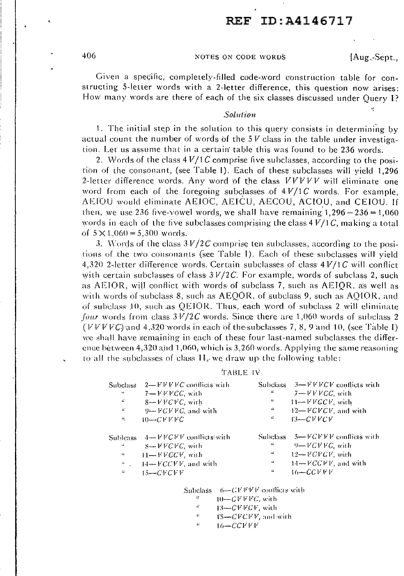# ,, REF ID:A4146717

406 NOTES ON CODE WORDS [Aug.-Sept.,

÷

Given a specific, completely-filled code-word construction table for constructing 5-letter words with a 2-letter difference, this question now arises: How many words are there of each of the six classes discussed under Query I?

### Solution

1. The initial step in the solution to this query consists in determining by actual count the number of words of the  $5V$  class in the table under investigation. Let us assume that in a certain· table this was found to be 236 words.

2. Words of the class  $4 V/1 \ddot{C}$  comprise five subclasses, according to the position of the consonant, (see Table I). Each of these subclasses will yield 1,296 2-letter difference words. Any word of the class *VVVVV* will eliminate one word from each of the foregoing subclasses of  $4V/1C$  words. For example, AEIOU would eliminate AEIOC, AEICU, AECOU, ACIOU, and CEIOU. If then, we use 236 five-vowel words, we shall have remaining  $1,296-236 = 1,060$ words in each of the five subclasses comprising the class  $4V/1C$ , making a total of  $5 \times 1,060 = 5,300$  words.

3. Words of the class  $3 V/2C$  comprise ten subclasses, according to the positions of the two consonants (see Table I). Each of these subclasses will yield 4,320 2-letter difference words. Certain subclasses of class  $4 V/1 C$  will conflict with certain subclasses of class  $3V/2C$ . For example, words of subclass 2, such as  $AEGOR$ , will conflict with words of subclass 7, such as  $AEGOR$ , as well as with words of subclass 8, such as AEQOR, of subclass 9, such as AQIOR, and of subclass  $10$ , such as QEIOR. Thus, each word of subclass 2 will eliminate *four* words from class  $3 V/2C$  words. Since there are 1,060 words of subclass 2 (*VVVC*) and  $4.320$  words in each of the subclasses 7, 8, 9 and 10, (see Table I) we shall have remaining in each of these four last-named subclasses the difference between  $4,320$  and  $1,060$ , which is  $3,260$  words. Applying the same reasoning to all the subclasses of class  $\Pi_{\sigma}$ , we draw up the following table:

### TABLE IV

| Subclass.              | $2 - VVVVC$ conflicts with        |                    | Subclass $3 - VVVCV$ conflicts with |
|------------------------|-----------------------------------|--------------------|-------------------------------------|
| $\bullet\bar{\bullet}$ | $7 - V V E C C$ , with            | Ù.                 | $7 - VVVCC$ , with                  |
| $\mathcal{C}$          | $8 - VV$ CVC, with                | 4                  | $T1 - VVGCV$ , with                 |
| A.                     | $9 - FCVVC$ , and with            | 44                 | $12 - VCV$ , and with               |
| 46,                    | $10-CVVVC$                        | $\boldsymbol{\mu}$ | 13—CVVCV                            |
|                        |                                   |                    |                                     |
|                        |                                   |                    |                                     |
|                        | Subleass $4-FFCFT$ conflicts with |                    | Subclass $5 - VCFV$ conflicts with  |
| -16                    | $S \rightarrow V V$ CVC with      | n                  | $9 - VCFVC$ , with                  |
| $\bullet\bullet$       | $H \rightarrow VFGCF$ , with      | 166                | $12 - VCVGV$ , with                 |
| i Maria I              | $14 - FCCVV$ , and with           | ٠í                 | $14 - VCCFV$ , and with             |

,Subclass  $f_0 = C V V V$  conflicts with

- יי<br>" 10-C *V V V(.',.* wir h
- 13-CVVCV, with
- a.  $15 - CFCVV$ , and with
	- $16-CCVVF$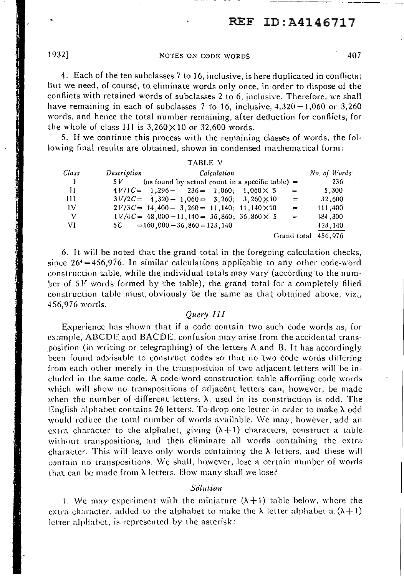## 1932] NOTES ON CODE WORDS *40i*

4. Each of the ten subclasses 7 to 16, inclusive, is here duplicated in conflicts; but we need, of course, to eliminate words only once, in order to dispose of the conflicts with retained words of subclasses 2 to 6, inclusive. Therefore, we shall have remaining in each of subclasses  $7$  to 16, inclusive,  $4,320-1,060$  or  $3,260$ words, and hence the total number remaining, after deduction for conflicts, for the whole of class III is  $3,260 \times 10$  or 32,600 words.

5. If we continue this process with the remaining classes of words, the following final results are obtained, shown in condensed mathematical form:

|       | <b>TABLE V</b>                                               |             |                     |              |
|-------|--------------------------------------------------------------|-------------|---------------------|--------------|
| Class | Description                                                  | Calculation |                     | No. of Words |
| T.    | (as found by actual count in a specific table) $=$<br>5 V -  |             |                     | 236          |
| П     | $4V/1C = 1,296 - 236 = 1,060$ ; $1,060 \times 5$             |             | $\Rightarrow$       | 5.300        |
| -111  | $3V/2C = 4,320 - 1,060 = 3,260; 3,260 \times 10$             |             | $\qquad \qquad =$   | 32,600       |
| Iν    | $2V/3C = 14,400 - 3,260 = 11,140; 11,140 \times 10$          |             | $=$                 | 111,400      |
| V     | $1 \frac{V}{4C} = 48,000 - 11,140 = 36,860; 36,860 \times 5$ |             | $\equiv$            | 184,300      |
| VI    | $5\text{ }C = 160,000 - 36,860 = 123,140$                    |             |                     | 123,140      |
|       |                                                              |             | Grand total 456,976 |              |

6. It will be noted that the grand total in the foregoing calculation checks, since  $26^4 = 456,976$ . In similar calculations applicable to any other code-word construction table, while the individual totals may vary (according to the number of 5 *V* words formed by the table), the grand total for a completely filled construction table must obviously be the same as that obtained above, viz., 456,976 words.

## *Query* I I I

Experience has shown that if a code contain two such code words as, for example, ABCDE and BACDE, confusion may arise from the accidental transposil'ion (in writing or telegraphing) of the letters A and H. It has accordingly been found advisable to construct codes so· that no two code words differing from each other merely in the transposition of two adjacent letters will be included in the same code. A code-word construction table affording code words which will show no transpositions of adjacent letters can, however, be made when the number of different letters,  $\lambda$ , used in its construction is odd. The English alphabet contains 26 letters. To drop one letter in order to make  $\lambda$  odd would reduce the total number of words available. We may, however, add an extra character to the alphabet, giving  $(\lambda + 1)$  characters, construct a table without transpositions, and their eliminate all words containing the extra character. This will leave only words containing the  $\lambda$  letters, and these will contain no transpositions. \·Ve shall, however, lose a certain number of words that can be made from  $\lambda$  letters. How many shall we lose?

### *So1u/,,ion*

1. We may experiment with the miniature  $(\lambda + 1)$  table below, where the extra character, added to the alphabet to make the  $\lambda$  letter alphabet a.  $(\lambda + 1)$ letter alphabet, is represented by the asterisk:

 $\mathbf{r}_l$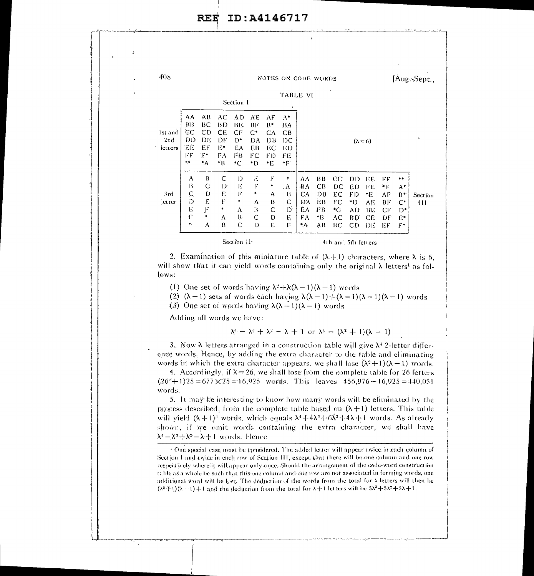RE~ **ID:A4146717** 

I

:1 j ,I i i I ! I  $\cdot$  $\vert$ i ·I  $\overline{\phantom{a}}$ ol I  $|\;|$ 

'!

I I i

 $\vert \ \vert$ 

| 408                            |                                                                                    |                                           |                                            | Section I                                         |                                                    |                                        | ٠                                           | <b>NOTES ON CODE WORDS</b><br>TABLE VI      |                                        |                                         |                                         |                                         |                                        |                                                          | [Aug.-Sept.,  |
|--------------------------------|------------------------------------------------------------------------------------|-------------------------------------------|--------------------------------------------|---------------------------------------------------|----------------------------------------------------|----------------------------------------|---------------------------------------------|---------------------------------------------|----------------------------------------|-----------------------------------------|-----------------------------------------|-----------------------------------------|----------------------------------------|----------------------------------------------------------|---------------|
| 1st and<br>2nd<br>٠<br>letters | AA.<br>$B$ <sup>B</sup><br>CC<br>DD<br>ΈE<br>FF<br>$^{\tiny{\text{+}}\, \text{+}}$ | AB<br>BC<br>СD<br>DE<br>EF<br>F÷<br>۰A    | AC<br>BÐ<br>ĊЕ<br>DF<br>Eэ<br>FA<br>*B     | <b>AD</b><br>BE.<br>CF<br>$D^*$<br>ЕA<br>FB<br>*C | AЕ<br>ВF<br>$\mathsf{C}^*$<br>DA<br>ЕB<br>FC<br>*D | AF<br>B*<br>CA<br>DB<br>ЕC<br>FD<br>۰E | $A^*$<br>BA<br>CB<br>DС<br>ЕÐ<br>FE<br>≁F   |                                             |                                        |                                         |                                         | $(\lambda = 6)$                         |                                        |                                                          | $\bullet.$    |
| 3rd<br>letter                  | А<br>B<br>C<br>D<br>Е<br>F<br>$\pmb{\ast}$                                         | B<br>$\mathbf C$<br>D<br>E<br>F<br>٠<br>A | $\mathbf C$<br>D<br>E,<br>F<br>*<br>A<br>B | D<br>E<br>F<br>۰<br>А<br>B<br>C                   | E<br>F<br>٠<br>A<br>$\mathbf{B}$<br>C<br>Ď         | F<br>٠<br>A<br>13<br>C<br>D<br>E       | 律<br>. A<br>B<br>$\mathbf C$<br>D<br>Е<br>F | AA<br>ΒA<br>CA<br>ÐА<br>ËA<br>FA.<br>$^*$ A | ВB<br>CB<br>DB<br>ЕB<br>ŦВ<br>*B<br>AВ | CC.<br>DС<br>EC<br>FC<br>۰C<br>AC<br>BС | ÐĎ<br>ED<br>FD<br>*D<br>AD.<br>ВD<br>CD | EE<br>FE<br>*E<br>AE.<br>ВE<br>CE<br>DË | FF<br>٠F<br>АF<br>ВF<br>СF<br>DF<br>EF | 手中<br>$A^*$<br>$B^*$<br>$\mathsf{C}^*$<br>D*<br>E,<br>F۴ | Section<br>ŦĤ |
|                                |                                                                                    |                                           |                                            | Section 11                                        |                                                    |                                        |                                             |                                             |                                        | 4th and 5th letters                     |                                         |                                         |                                        |                                                          |               |

<sup>I</sup>~~--------**........... <sup>111111111111111</sup>**

2. Examination of this miniature table of  $(\lambda + 1)$  characters, where  $\lambda$  is 6, will show that it can yield words containing only the original  $\lambda$  letters<sup>1</sup> as follows:

(1) One set of words having  $\lambda^2 + \lambda(\lambda - 1)(\lambda - 1)$  words

(2)  $(\lambda - 1)$  sets of words each having  $\lambda(\lambda - 1) + (\lambda - 1)(\lambda - 1)$  words

(3) One set of words having  $\lambda(\lambda - 1)(\lambda - 1)$  words

Adding all words we have:

 $\lambda^4 - \lambda^3 + \lambda^2 - \lambda + 1$  or  $\lambda^4 - (\lambda^2 + 1)(\lambda - 1)$ 

3. Now  $\lambda$  letters arranged in a construction table will give  $\lambda^4$  2-letter difference words. Hence, by adding the extra character to the table and eliminating words in which the extra character appears, we shall lose  $(\lambda^2+1)(\lambda-1)$  words.

4. Accordingly, if  $\lambda = 26$ , we shall lose from the complete vable for 26 letters  $(26^{\circ}+1)25=677\times25=16,925$  words. This leaves  $456,976-16,925=440,051$ \i'ords.

5. It may be interesting to know how many words will be eliminated by the process described, from the complete table based on  $(\lambda + 1)$  letters. This table will yield  $(\lambda + 1)^4$  words, which equals  $\lambda^4 + 4\lambda^3 + 6\lambda^2 + 4\lambda + 1$  words. As already shown, if we omit words containing the extra character, we shall have  $\lambda^4 - \lambda^3 + \lambda^2 - \lambda + 1$  words. Hence

I - --':·-·-·-----=--:-----.-.\_ -~--~----· ---~~--~ ----=---- --·~·------!

I I I'

<sup>&</sup>lt;sup>1</sup> One special case: must be considered. The added letter will appear twice in each column of Section I and twice in each row of Section III, except that there will be one column and one row respectively where it will appear only once. Should the agrangement of the code-word construction table as a whole he such that rhis one column and one row are not associated in forming words, one additional word will be lost. The deduction of the words from the total for  $\lambda$  letters will then he  $(\lambda^2+1)(\lambda-1)+1$  and rhe deduction from the total for  $\lambda+1$  letters will be  $5\lambda^3+5\lambda^2+5\lambda+1$ .